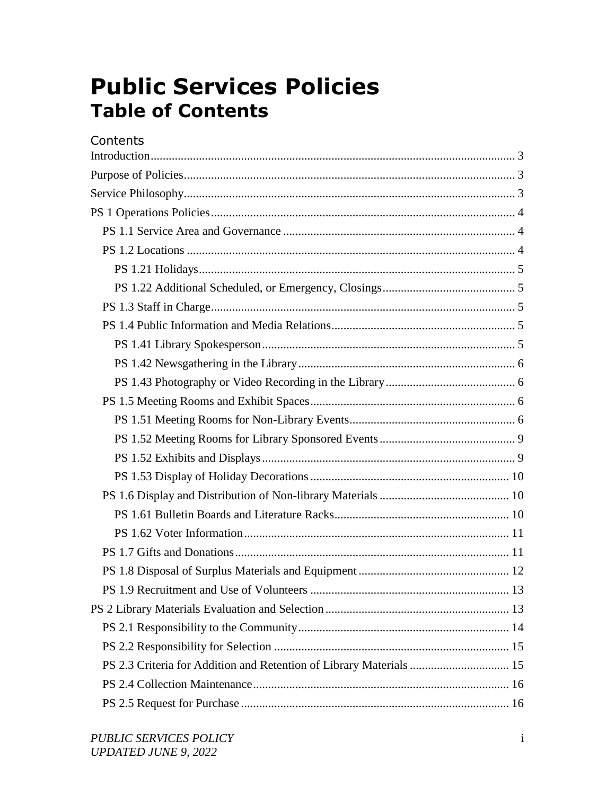# **Public Services Policies Table of Contents**

| Contents                                                            |  |
|---------------------------------------------------------------------|--|
|                                                                     |  |
|                                                                     |  |
|                                                                     |  |
|                                                                     |  |
|                                                                     |  |
|                                                                     |  |
|                                                                     |  |
|                                                                     |  |
|                                                                     |  |
|                                                                     |  |
|                                                                     |  |
|                                                                     |  |
|                                                                     |  |
|                                                                     |  |
|                                                                     |  |
|                                                                     |  |
|                                                                     |  |
|                                                                     |  |
|                                                                     |  |
|                                                                     |  |
|                                                                     |  |
|                                                                     |  |
|                                                                     |  |
|                                                                     |  |
|                                                                     |  |
|                                                                     |  |
|                                                                     |  |
| PS 2.3 Criteria for Addition and Retention of Library Materials  15 |  |
|                                                                     |  |
|                                                                     |  |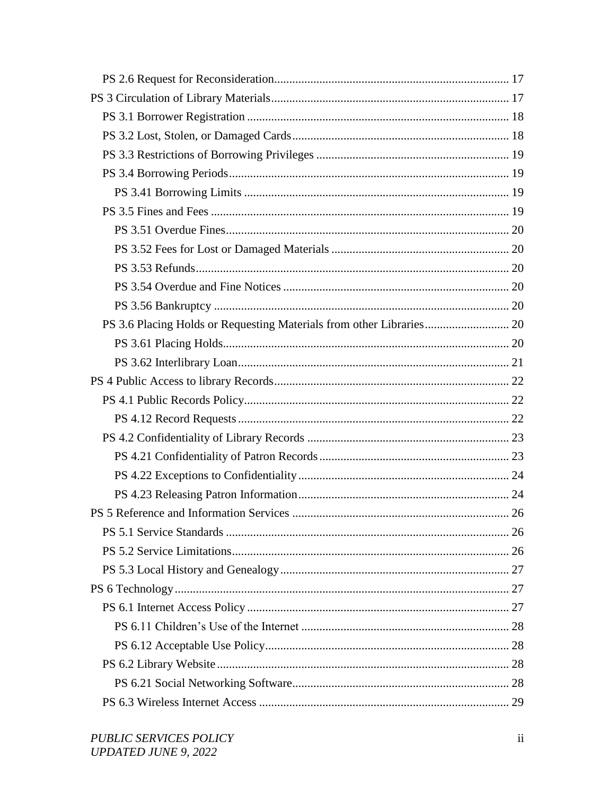| PS 3.6 Placing Holds or Requesting Materials from other Libraries 20 |  |
|----------------------------------------------------------------------|--|
|                                                                      |  |
|                                                                      |  |
|                                                                      |  |
|                                                                      |  |
|                                                                      |  |
|                                                                      |  |
|                                                                      |  |
|                                                                      |  |
|                                                                      |  |
|                                                                      |  |
|                                                                      |  |
|                                                                      |  |
|                                                                      |  |
|                                                                      |  |
|                                                                      |  |
|                                                                      |  |
|                                                                      |  |
|                                                                      |  |
|                                                                      |  |
|                                                                      |  |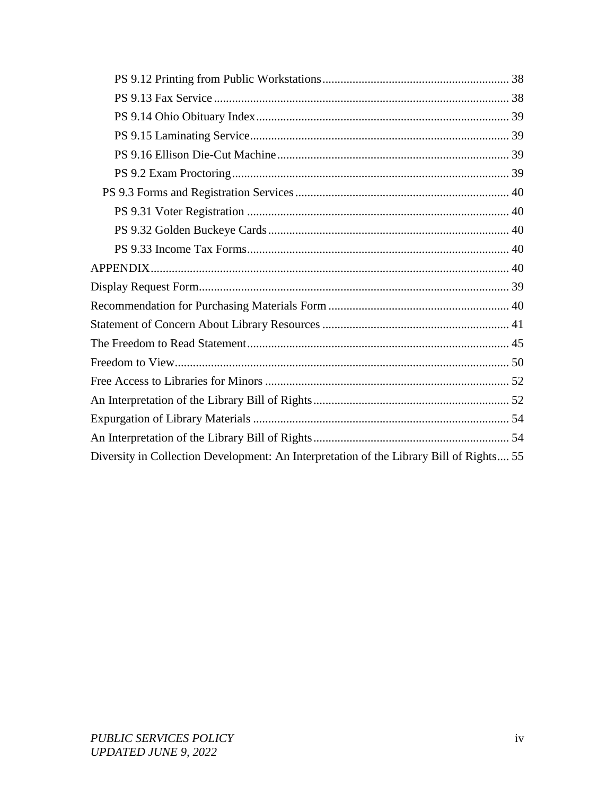| Diversity in Collection Development: An Interpretation of the Library Bill of Rights 55 |  |
|-----------------------------------------------------------------------------------------|--|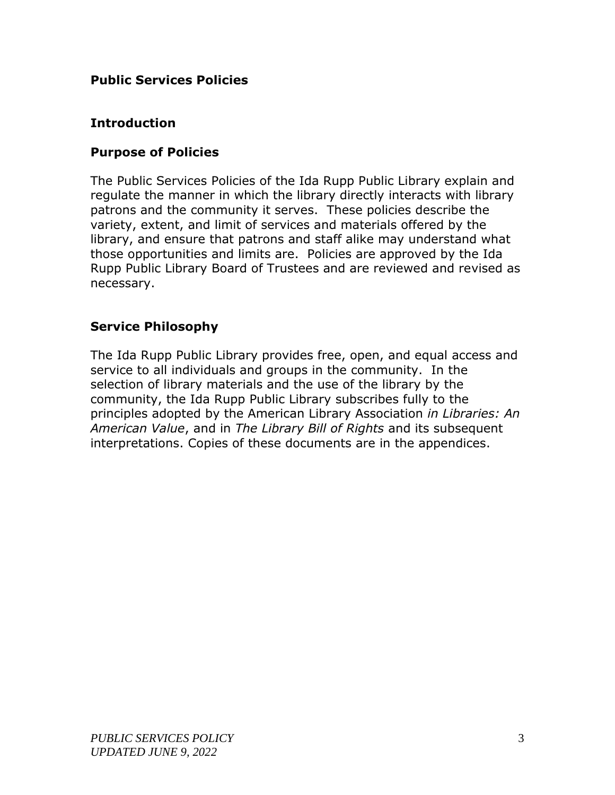# **Public Services Policies**

# <span id="page-4-0"></span>**Introduction**

# <span id="page-4-1"></span>**Purpose of Policies**

The Public Services Policies of the Ida Rupp Public Library explain and regulate the manner in which the library directly interacts with library patrons and the community it serves. These policies describe the variety, extent, and limit of services and materials offered by the library, and ensure that patrons and staff alike may understand what those opportunities and limits are. Policies are approved by the Ida Rupp Public Library Board of Trustees and are reviewed and revised as necessary.

# <span id="page-4-2"></span>**Service Philosophy**

The Ida Rupp Public Library provides free, open, and equal access and service to all individuals and groups in the community. In the selection of library materials and the use of the library by the community, the Ida Rupp Public Library subscribes fully to the principles adopted by the American Library Association *in Libraries: An American Value*, and in *The Library Bill of Rights* and its subsequent interpretations. Copies of these documents are in the appendices.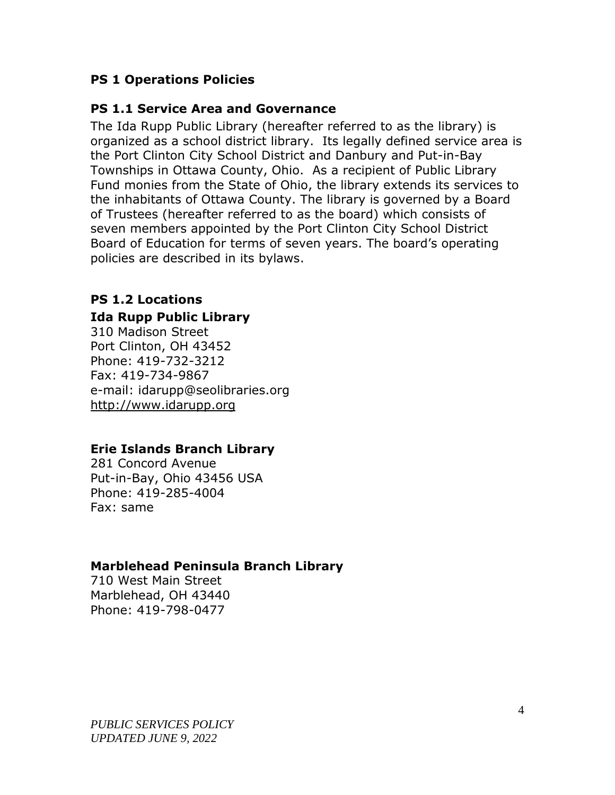#### <span id="page-5-0"></span>**PS 1 Operations Policies**

#### <span id="page-5-1"></span>**PS 1.1 Service Area and Governance**

The Ida Rupp Public Library (hereafter referred to as the library) is organized as a school district library. Its legally defined service area is the Port Clinton City School District and Danbury and Put-in-Bay Townships in Ottawa County, Ohio. As a recipient of Public Library Fund monies from the State of Ohio, the library extends its services to the inhabitants of Ottawa County. The library is governed by a Board of Trustees (hereafter referred to as the board) which consists of seven members appointed by the Port Clinton City School District Board of Education for terms of seven years. The board's operating policies are described in its bylaws.

#### <span id="page-5-2"></span>**PS 1.2 Locations**

#### **Ida Rupp Public Library**

310 Madison Street Port Clinton, OH 43452 Phone: 419-732-3212 Fax: 419-734-9867 e-mail: idarupp@seolibraries.org [http://www.idarupp.org](http://www.idarupp.org/index.php)

# **Erie Islands Branch Library**

281 Concord Avenue Put-in-Bay, Ohio 43456 USA Phone: 419-285-4004 Fax: same

# **Marblehead Peninsula Branch Library**

710 West Main Street Marblehead, OH 43440 Phone: 419-798-0477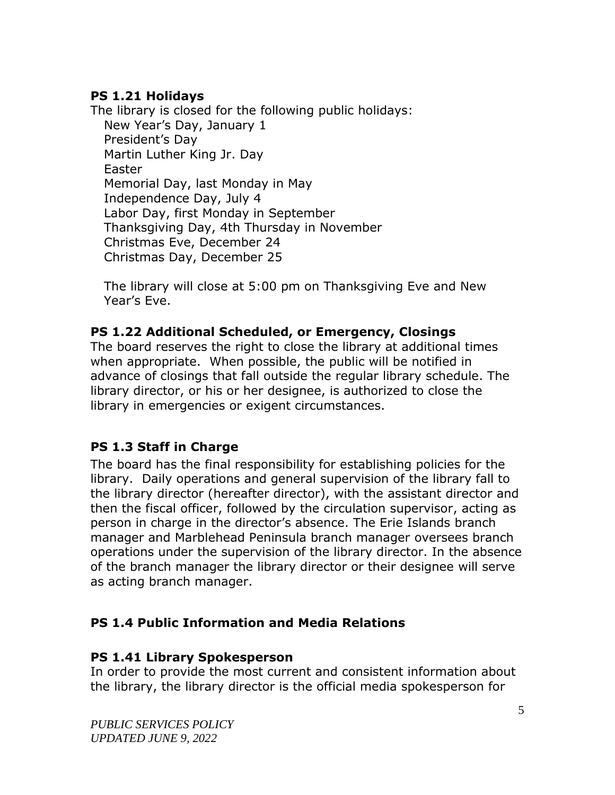# <span id="page-6-0"></span>**PS 1.21 Holidays**

The library is closed for the following public holidays: New Year's Day, January 1 President's Day Martin Luther King Jr. Day Easter Memorial Day, last Monday in May Independence Day, July 4 Labor Day, first Monday in September Thanksgiving Day, 4th Thursday in November Christmas Eve, December 24 Christmas Day, December 25

The library will close at 5:00 pm on Thanksgiving Eve and New Year's Eve.

# <span id="page-6-1"></span>**PS 1.22 Additional Scheduled, or Emergency, Closings**

The board reserves the right to close the library at additional times when appropriate. When possible, the public will be notified in advance of closings that fall outside the regular library schedule. The library director, or his or her designee, is authorized to close the library in emergencies or exigent circumstances.

# <span id="page-6-2"></span>**PS 1.3 Staff in Charge**

The board has the final responsibility for establishing policies for the library. Daily operations and general supervision of the library fall to the library director (hereafter director), with the assistant director and then the fiscal officer, followed by the circulation supervisor, acting as person in charge in the director's absence. The Erie Islands branch manager and Marblehead Peninsula branch manager oversees branch operations under the supervision of the library director. In the absence of the branch manager the library director or their designee will serve as acting branch manager.

# <span id="page-6-3"></span>**PS 1.4 Public Information and Media Relations**

# <span id="page-6-4"></span>**PS 1.41 Library Spokesperson**

In order to provide the most current and consistent information about the library, the library director is the official media spokesperson for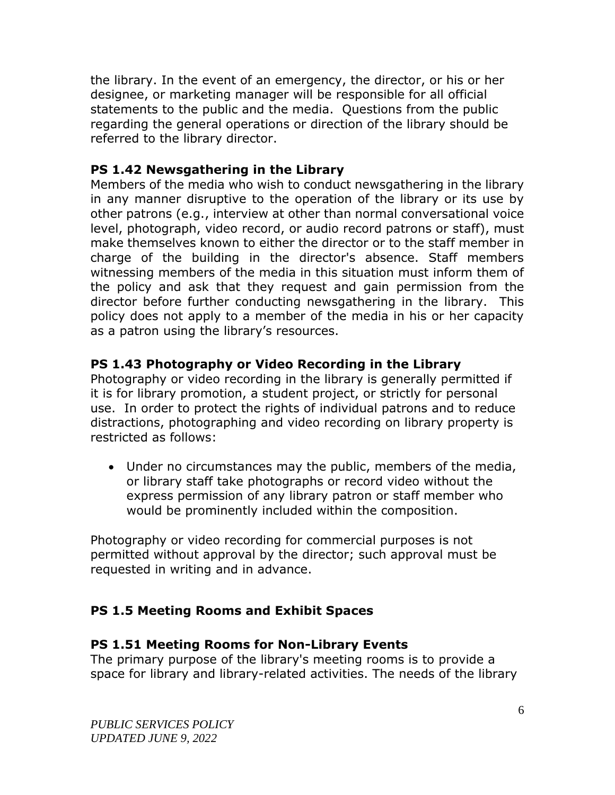the library. In the event of an emergency, the director, or his or her designee, or marketing manager will be responsible for all official statements to the public and the media. Questions from the public regarding the general operations or direction of the library should be referred to the library director.

# <span id="page-7-0"></span>**PS 1.42 Newsgathering in the Library**

Members of the media who wish to conduct newsgathering in the library in any manner disruptive to the operation of the library or its use by other patrons (e.g., interview at other than normal conversational voice level, photograph, video record, or audio record patrons or staff), must make themselves known to either the director or to the staff member in charge of the building in the director's absence. Staff members witnessing members of the media in this situation must inform them of the policy and ask that they request and gain permission from the director before further conducting newsgathering in the library. This policy does not apply to a member of the media in his or her capacity as a patron using the library's resources.

#### <span id="page-7-1"></span>**PS 1.43 Photography or Video Recording in the Library**

Photography or video recording in the library is generally permitted if it is for library promotion, a student project, or strictly for personal use. In order to protect the rights of individual patrons and to reduce distractions, photographing and video recording on library property is restricted as follows:

 Under no circumstances may the public, members of the media, or library staff take photographs or record video without the express permission of any library patron or staff member who would be prominently included within the composition.

Photography or video recording for commercial purposes is not permitted without approval by the director; such approval must be requested in writing and in advance.

# <span id="page-7-2"></span>**PS 1.5 Meeting Rooms and Exhibit Spaces**

#### <span id="page-7-3"></span>**PS 1.51 Meeting Rooms for Non-Library Events**

The primary purpose of the library's meeting rooms is to provide a space for library and library-related activities. The needs of the library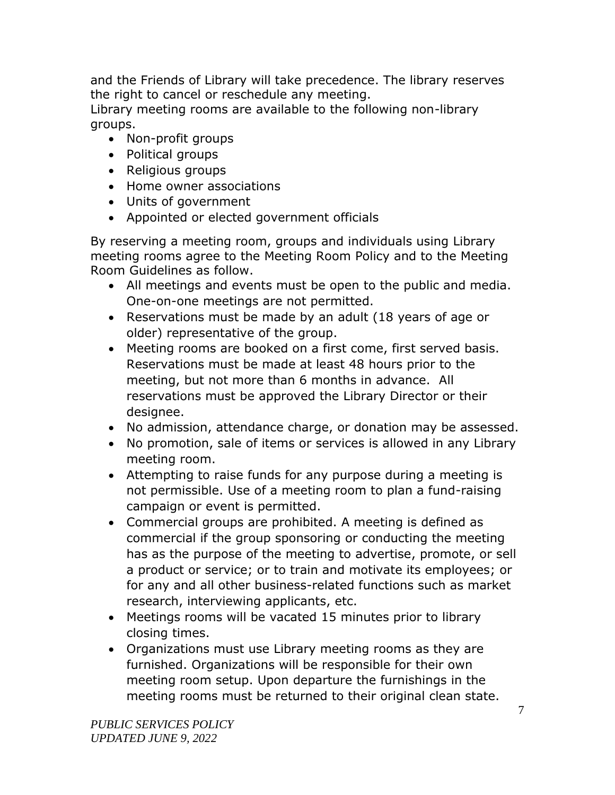and the Friends of Library will take precedence. The library reserves the right to cancel or reschedule any meeting.

Library meeting rooms are available to the following non-library groups.

- Non-profit groups
- Political groups
- Religious groups
- Home owner associations
- Units of government
- Appointed or elected government officials

By reserving a meeting room, groups and individuals using Library meeting rooms agree to the Meeting Room Policy and to the Meeting Room Guidelines as follow.

- All meetings and events must be open to the public and media. One-on-one meetings are not permitted.
- Reservations must be made by an adult (18 years of age or older) representative of the group.
- Meeting rooms are booked on a first come, first served basis. Reservations must be made at least 48 hours prior to the meeting, but not more than 6 months in advance. All reservations must be approved the Library Director or their designee.
- No admission, attendance charge, or donation may be assessed.
- No promotion, sale of items or services is allowed in any Library meeting room.
- Attempting to raise funds for any purpose during a meeting is not permissible. Use of a meeting room to plan a fund-raising campaign or event is permitted.
- Commercial groups are prohibited. A meeting is defined as commercial if the group sponsoring or conducting the meeting has as the purpose of the meeting to advertise, promote, or sell a product or service; or to train and motivate its employees; or for any and all other business-related functions such as market research, interviewing applicants, etc.
- Meetings rooms will be vacated 15 minutes prior to library closing times.
- Organizations must use Library meeting rooms as they are furnished. Organizations will be responsible for their own meeting room setup. Upon departure the furnishings in the meeting rooms must be returned to their original clean state.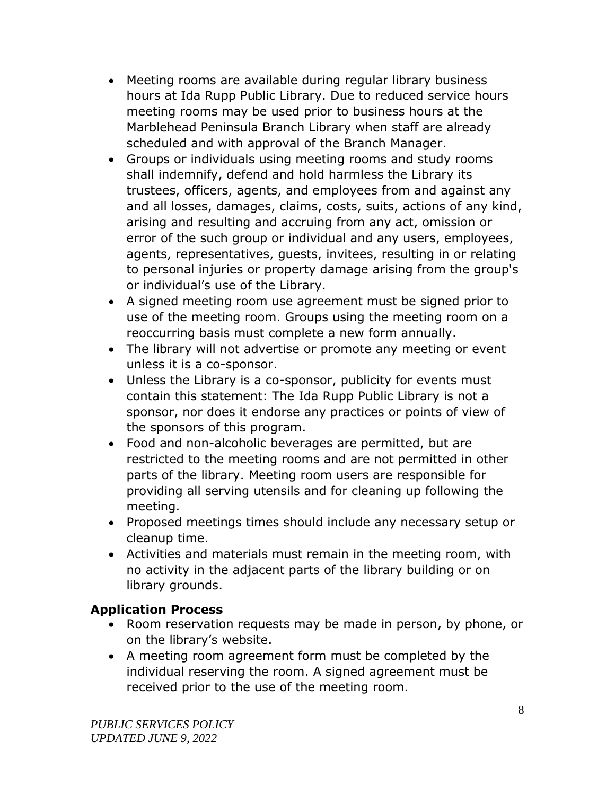- Meeting rooms are available during regular library business hours at Ida Rupp Public Library. Due to reduced service hours meeting rooms may be used prior to business hours at the Marblehead Peninsula Branch Library when staff are already scheduled and with approval of the Branch Manager.
- Groups or individuals using meeting rooms and study rooms shall indemnify, defend and hold harmless the Library its trustees, officers, agents, and employees from and against any and all losses, damages, claims, costs, suits, actions of any kind, arising and resulting and accruing from any act, omission or error of the such group or individual and any users, employees, agents, representatives, guests, invitees, resulting in or relating to personal injuries or property damage arising from the group's or individual's use of the Library.
- A signed meeting room use agreement must be signed prior to use of the meeting room. Groups using the meeting room on a reoccurring basis must complete a new form annually.
- The library will not advertise or promote any meeting or event unless it is a co-sponsor.
- Unless the Library is a co-sponsor, publicity for events must contain this statement: The Ida Rupp Public Library is not a sponsor, nor does it endorse any practices or points of view of the sponsors of this program.
- Food and non-alcoholic beverages are permitted, but are restricted to the meeting rooms and are not permitted in other parts of the library. Meeting room users are responsible for providing all serving utensils and for cleaning up following the meeting.
- Proposed meetings times should include any necessary setup or cleanup time.
- Activities and materials must remain in the meeting room, with no activity in the adjacent parts of the library building or on library grounds.

# **Application Process**

- Room reservation requests may be made in person, by phone, or on the library's website.
- A meeting room agreement form must be completed by the individual reserving the room. A signed agreement must be received prior to the use of the meeting room.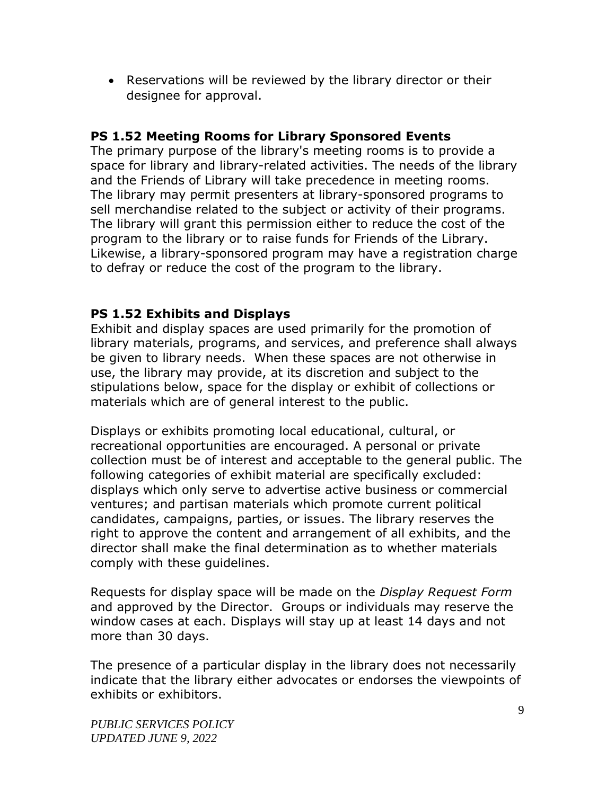Reservations will be reviewed by the library director or their designee for approval.

#### <span id="page-10-0"></span>**PS 1.52 Meeting Rooms for Library Sponsored Events**

The primary purpose of the library's meeting rooms is to provide a space for library and library-related activities. The needs of the library and the Friends of Library will take precedence in meeting rooms. The library may permit presenters at library-sponsored programs to sell merchandise related to the subject or activity of their programs. The library will grant this permission either to reduce the cost of the program to the library or to raise funds for Friends of the Library. Likewise, a library-sponsored program may have a registration charge to defray or reduce the cost of the program to the library.

#### <span id="page-10-1"></span>**PS 1.52 Exhibits and Displays**

Exhibit and display spaces are used primarily for the promotion of library materials, programs, and services, and preference shall always be given to library needs. When these spaces are not otherwise in use, the library may provide, at its discretion and subject to the stipulations below, space for the display or exhibit of collections or materials which are of general interest to the public.

Displays or exhibits promoting local educational, cultural, or recreational opportunities are encouraged. A personal or private collection must be of interest and acceptable to the general public. The following categories of exhibit material are specifically excluded: displays which only serve to advertise active business or commercial ventures; and partisan materials which promote current political candidates, campaigns, parties, or issues. The library reserves the right to approve the content and arrangement of all exhibits, and the director shall make the final determination as to whether materials comply with these guidelines.

Requests for display space will be made on the *Display Request Form* and approved by the Director. Groups or individuals may reserve the window cases at each. Displays will stay up at least 14 days and not more than 30 days.

The presence of a particular display in the library does not necessarily indicate that the library either advocates or endorses the viewpoints of exhibits or exhibitors.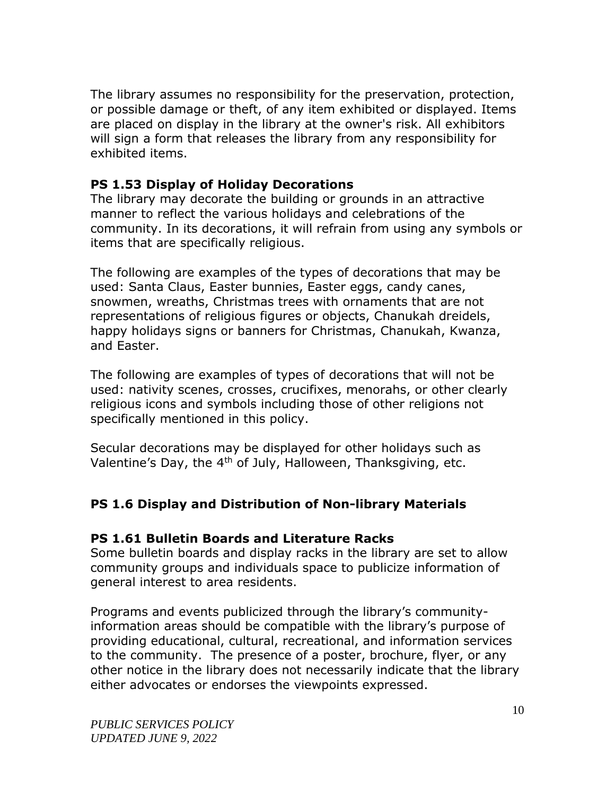The library assumes no responsibility for the preservation, protection, or possible damage or theft, of any item exhibited or displayed. Items are placed on display in the library at the owner's risk. All exhibitors will sign a form that releases the library from any responsibility for exhibited items.

# <span id="page-11-0"></span>**PS 1.53 Display of Holiday Decorations**

The library may decorate the building or grounds in an attractive manner to reflect the various holidays and celebrations of the community. In its decorations, it will refrain from using any symbols or items that are specifically religious.

The following are examples of the types of decorations that may be used: Santa Claus, Easter bunnies, Easter eggs, candy canes, snowmen, wreaths, Christmas trees with ornaments that are not representations of religious figures or objects, Chanukah dreidels, happy holidays signs or banners for Christmas, Chanukah, Kwanza, and Easter.

The following are examples of types of decorations that will not be used: nativity scenes, crosses, crucifixes, menorahs, or other clearly religious icons and symbols including those of other religions not specifically mentioned in this policy.

Secular decorations may be displayed for other holidays such as Valentine's Day, the  $4<sup>th</sup>$  of July, Halloween, Thanksgiving, etc.

# <span id="page-11-1"></span>**PS 1.6 Display and Distribution of Non-library Materials**

#### <span id="page-11-2"></span>**PS 1.61 Bulletin Boards and Literature Racks**

Some bulletin boards and display racks in the library are set to allow community groups and individuals space to publicize information of general interest to area residents.

Programs and events publicized through the library's communityinformation areas should be compatible with the library's purpose of providing educational, cultural, recreational, and information services to the community. The presence of a poster, brochure, flyer, or any other notice in the library does not necessarily indicate that the library either advocates or endorses the viewpoints expressed.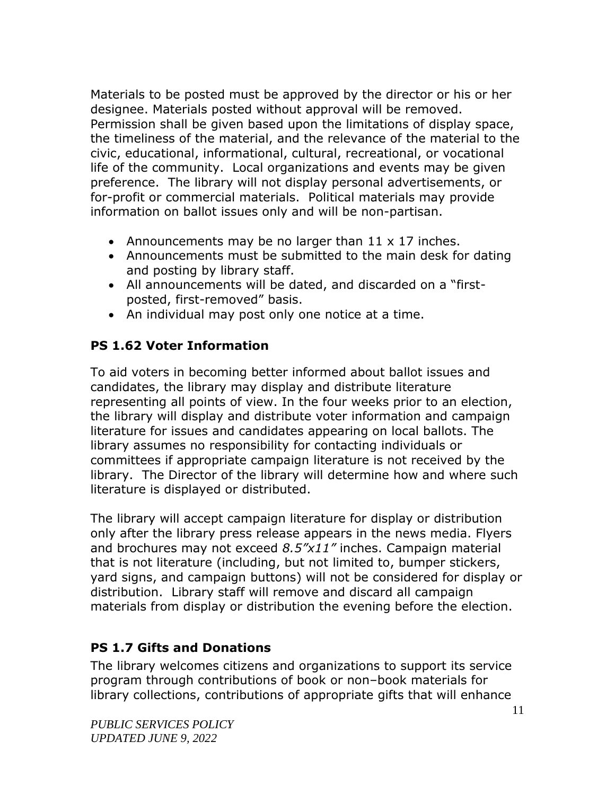Materials to be posted must be approved by the director or his or her designee. Materials posted without approval will be removed. Permission shall be given based upon the limitations of display space, the timeliness of the material, and the relevance of the material to the civic, educational, informational, cultural, recreational, or vocational life of the community. Local organizations and events may be given preference. The library will not display personal advertisements, or for-profit or commercial materials. Political materials may provide information on ballot issues only and will be non-partisan.

- Announcements may be no larger than  $11 \times 17$  inches.
- Announcements must be submitted to the main desk for dating and posting by library staff.
- All announcements will be dated, and discarded on a "firstposted, first-removed" basis.
- An individual may post only one notice at a time.

# <span id="page-12-0"></span>**PS 1.62 Voter Information**

To aid voters in becoming better informed about ballot issues and candidates, the library may display and distribute literature representing all points of view. In the four weeks prior to an election, the library will display and distribute voter information and campaign literature for issues and candidates appearing on local ballots. The library assumes no responsibility for contacting individuals or committees if appropriate campaign literature is not received by the library. The Director of the library will determine how and where such literature is displayed or distributed.

The library will accept campaign literature for display or distribution only after the library press release appears in the news media. Flyers and brochures may not exceed *8.5"x11"* inches. Campaign material that is not literature (including, but not limited to, bumper stickers, yard signs, and campaign buttons) will not be considered for display or distribution. Library staff will remove and discard all campaign materials from display or distribution the evening before the election.

# <span id="page-12-1"></span>**PS 1.7 Gifts and Donations**

The library welcomes citizens and organizations to support its service program through contributions of book or non–book materials for library collections, contributions of appropriate gifts that will enhance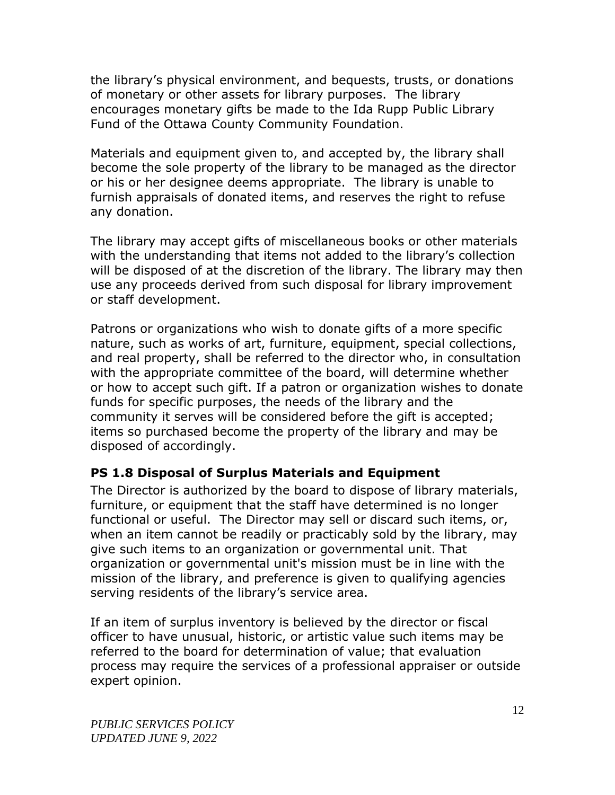the library's physical environment, and bequests, trusts, or donations of monetary or other assets for library purposes. The library encourages monetary gifts be made to the Ida Rupp Public Library Fund of the Ottawa County Community Foundation.

Materials and equipment given to, and accepted by, the library shall become the sole property of the library to be managed as the director or his or her designee deems appropriate. The library is unable to furnish appraisals of donated items, and reserves the right to refuse any donation.

The library may accept gifts of miscellaneous books or other materials with the understanding that items not added to the library's collection will be disposed of at the discretion of the library. The library may then use any proceeds derived from such disposal for library improvement or staff development.

Patrons or organizations who wish to donate gifts of a more specific nature, such as works of art, furniture, equipment, special collections, and real property, shall be referred to the director who, in consultation with the appropriate committee of the board, will determine whether or how to accept such gift. If a patron or organization wishes to donate funds for specific purposes, the needs of the library and the community it serves will be considered before the gift is accepted; items so purchased become the property of the library and may be disposed of accordingly.

# <span id="page-13-0"></span>**PS 1.8 Disposal of Surplus Materials and Equipment**

The Director is authorized by the board to dispose of library materials, furniture, or equipment that the staff have determined is no longer functional or useful. The Director may sell or discard such items, or, when an item cannot be readily or practicably sold by the library, may give such items to an organization or governmental unit. That organization or governmental unit's mission must be in line with the mission of the library, and preference is given to qualifying agencies serving residents of the library's service area.

If an item of surplus inventory is believed by the director or fiscal officer to have unusual, historic, or artistic value such items may be referred to the board for determination of value; that evaluation process may require the services of a professional appraiser or outside expert opinion.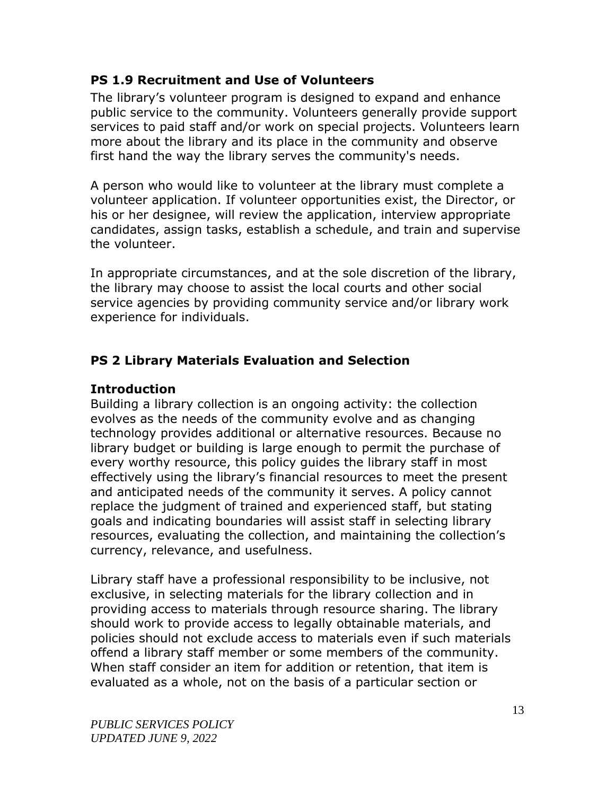#### <span id="page-14-0"></span>**PS 1.9 Recruitment and Use of Volunteers**

The library's volunteer program is designed to expand and enhance public service to the community. Volunteers generally provide support services to paid staff and/or work on special projects. Volunteers learn more about the library and its place in the community and observe first hand the way the library serves the community's needs.

A person who would like to volunteer at the library must complete a volunteer application. If volunteer opportunities exist, the Director, or his or her designee, will review the application, interview appropriate candidates, assign tasks, establish a schedule, and train and supervise the volunteer.

In appropriate circumstances, and at the sole discretion of the library, the library may choose to assist the local courts and other social service agencies by providing community service and/or library work experience for individuals.

# <span id="page-14-1"></span>**PS 2 Library Materials Evaluation and Selection**

# **Introduction**

Building a library collection is an ongoing activity: the collection evolves as the needs of the community evolve and as changing technology provides additional or alternative resources. Because no library budget or building is large enough to permit the purchase of every worthy resource, this policy guides the library staff in most effectively using the library's financial resources to meet the present and anticipated needs of the community it serves. A policy cannot replace the judgment of trained and experienced staff, but stating goals and indicating boundaries will assist staff in selecting library resources, evaluating the collection, and maintaining the collection's currency, relevance, and usefulness.

Library staff have a professional responsibility to be inclusive, not exclusive, in selecting materials for the library collection and in providing access to materials through resource sharing. The library should work to provide access to legally obtainable materials, and policies should not exclude access to materials even if such materials offend a library staff member or some members of the community. When staff consider an item for addition or retention, that item is evaluated as a whole, not on the basis of a particular section or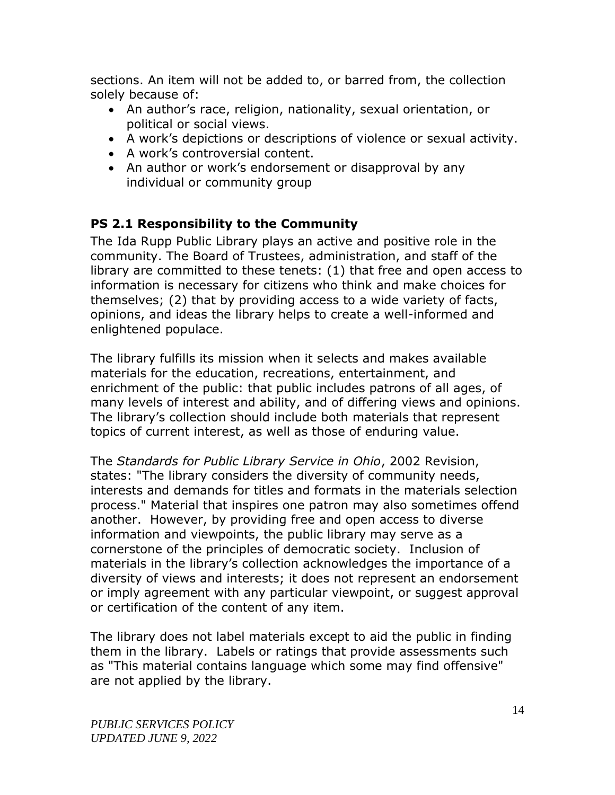sections. An item will not be added to, or barred from, the collection solely because of:

- An author's race, religion, nationality, sexual orientation, or political or social views.
- A work's depictions or descriptions of violence or sexual activity.
- A work's controversial content.
- An author or work's endorsement or disapproval by any individual or community group

# <span id="page-15-0"></span>**PS 2.1 Responsibility to the Community**

The Ida Rupp Public Library plays an active and positive role in the community. The Board of Trustees, administration, and staff of the library are committed to these tenets: (1) that free and open access to information is necessary for citizens who think and make choices for themselves; (2) that by providing access to a wide variety of facts, opinions, and ideas the library helps to create a well-informed and enlightened populace.

The library fulfills its mission when it selects and makes available materials for the education, recreations, entertainment, and enrichment of the public: that public includes patrons of all ages, of many levels of interest and ability, and of differing views and opinions. The library's collection should include both materials that represent topics of current interest, as well as those of enduring value.

The *Standards for Public Library Service in Ohio*, 2002 Revision, states: "The library considers the diversity of community needs, interests and demands for titles and formats in the materials selection process." Material that inspires one patron may also sometimes offend another. However, by providing free and open access to diverse information and viewpoints, the public library may serve as a cornerstone of the principles of democratic society. Inclusion of materials in the library's collection acknowledges the importance of a diversity of views and interests; it does not represent an endorsement or imply agreement with any particular viewpoint, or suggest approval or certification of the content of any item.

The library does not label materials except to aid the public in finding them in the library. Labels or ratings that provide assessments such as "This material contains language which some may find offensive" are not applied by the library.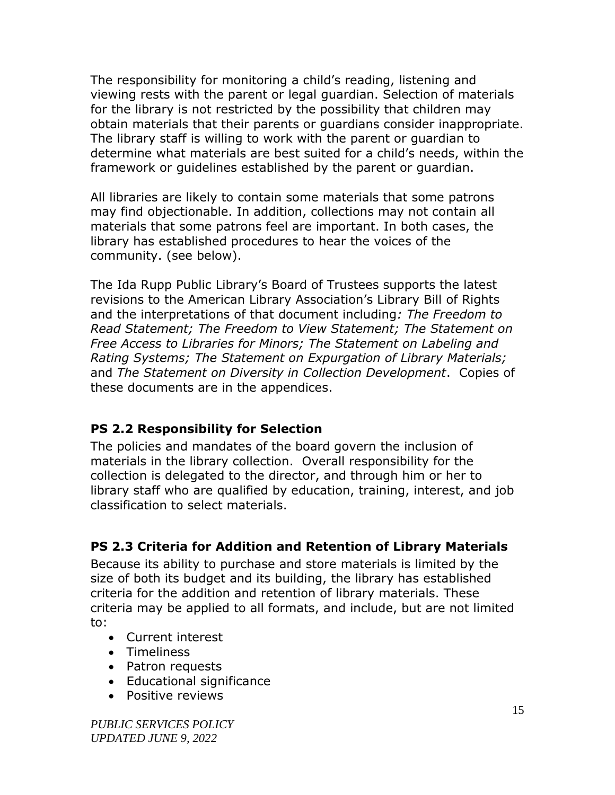The responsibility for monitoring a child's reading, listening and viewing rests with the parent or legal guardian. Selection of materials for the library is not restricted by the possibility that children may obtain materials that their parents or guardians consider inappropriate. The library staff is willing to work with the parent or guardian to determine what materials are best suited for a child's needs, within the framework or guidelines established by the parent or guardian.

All libraries are likely to contain some materials that some patrons may find objectionable. In addition, collections may not contain all materials that some patrons feel are important. In both cases, the library has established procedures to hear the voices of the community. (see below).

The Ida Rupp Public Library's Board of Trustees supports the latest revisions to the American Library Association's Library Bill of Rights and the interpretations of that document including*: The Freedom to Read Statement; The Freedom to View Statement; The Statement on Free Access to Libraries for Minors; The Statement on Labeling and Rating Systems; The Statement on Expurgation of Library Materials;*  and *The Statement on Diversity in Collection Development*. Copies of these documents are in the appendices.

# <span id="page-16-0"></span>**PS 2.2 Responsibility for Selection**

The policies and mandates of the board govern the inclusion of materials in the library collection. Overall responsibility for the collection is delegated to the director, and through him or her to library staff who are qualified by education, training, interest, and job classification to select materials.

# <span id="page-16-1"></span>**PS 2.3 Criteria for Addition and Retention of Library Materials**

Because its ability to purchase and store materials is limited by the size of both its budget and its building, the library has established criteria for the addition and retention of library materials. These criteria may be applied to all formats, and include, but are not limited to:

- Current interest
- Timeliness
- Patron requests
- Educational significance
- Positive reviews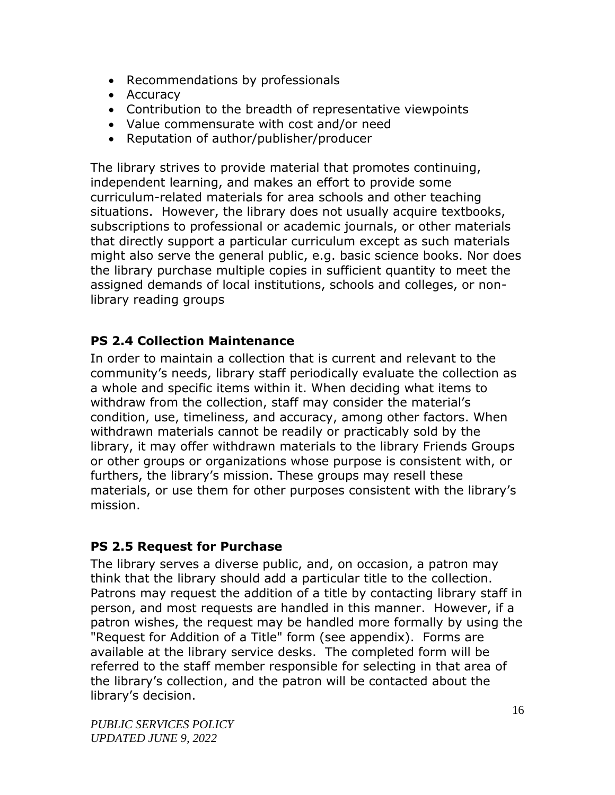- Recommendations by professionals
- Accuracy
- Contribution to the breadth of representative viewpoints
- Value commensurate with cost and/or need
- Reputation of author/publisher/producer

The library strives to provide material that promotes continuing, independent learning, and makes an effort to provide some curriculum-related materials for area schools and other teaching situations. However, the library does not usually acquire textbooks, subscriptions to professional or academic journals, or other materials that directly support a particular curriculum except as such materials might also serve the general public, e.g. basic science books. Nor does the library purchase multiple copies in sufficient quantity to meet the assigned demands of local institutions, schools and colleges, or nonlibrary reading groups

# <span id="page-17-0"></span>**PS 2.4 Collection Maintenance**

In order to maintain a collection that is current and relevant to the community's needs, library staff periodically evaluate the collection as a whole and specific items within it. When deciding what items to withdraw from the collection, staff may consider the material's condition, use, timeliness, and accuracy, among other factors. When withdrawn materials cannot be readily or practicably sold by the library, it may offer withdrawn materials to the library Friends Groups or other groups or organizations whose purpose is consistent with, or furthers, the library's mission. These groups may resell these materials, or use them for other purposes consistent with the library's mission.

# <span id="page-17-1"></span>**PS 2.5 Request for Purchase**

The library serves a diverse public, and, on occasion, a patron may think that the library should add a particular title to the collection. Patrons may request the addition of a title by contacting library staff in person, and most requests are handled in this manner. However, if a patron wishes, the request may be handled more formally by using the "Request for Addition of a Title" form (see appendix). Forms are available at the library service desks. The completed form will be referred to the staff member responsible for selecting in that area of the library's collection, and the patron will be contacted about the library's decision.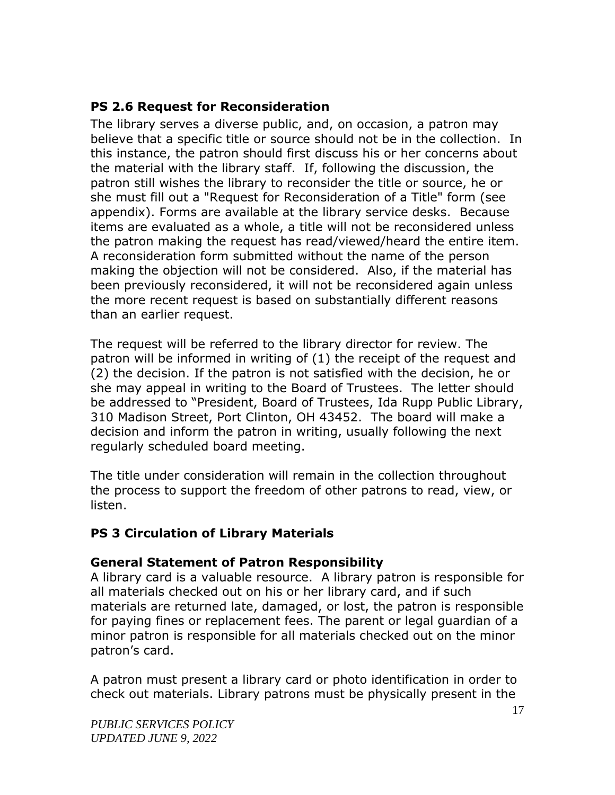# <span id="page-18-0"></span>**PS 2.6 Request for Reconsideration**

The library serves a diverse public, and, on occasion, a patron may believe that a specific title or source should not be in the collection. In this instance, the patron should first discuss his or her concerns about the material with the library staff. If, following the discussion, the patron still wishes the library to reconsider the title or source, he or she must fill out a "Request for Reconsideration of a Title" form (see appendix). Forms are available at the library service desks. Because items are evaluated as a whole, a title will not be reconsidered unless the patron making the request has read/viewed/heard the entire item. A reconsideration form submitted without the name of the person making the objection will not be considered. Also, if the material has been previously reconsidered, it will not be reconsidered again unless the more recent request is based on substantially different reasons than an earlier request.

The request will be referred to the library director for review. The patron will be informed in writing of (1) the receipt of the request and (2) the decision. If the patron is not satisfied with the decision, he or she may appeal in writing to the Board of Trustees. The letter should be addressed to "President, Board of Trustees, Ida Rupp Public Library, 310 Madison Street, Port Clinton, OH 43452. The board will make a decision and inform the patron in writing, usually following the next regularly scheduled board meeting.

The title under consideration will remain in the collection throughout the process to support the freedom of other patrons to read, view, or listen.

# <span id="page-18-1"></span>**PS 3 Circulation of Library Materials**

#### **General Statement of Patron Responsibility**

A library card is a valuable resource. A library patron is responsible for all materials checked out on his or her library card, and if such materials are returned late, damaged, or lost, the patron is responsible for paying fines or replacement fees. The parent or legal guardian of a minor patron is responsible for all materials checked out on the minor patron's card.

A patron must present a library card or photo identification in order to check out materials. Library patrons must be physically present in the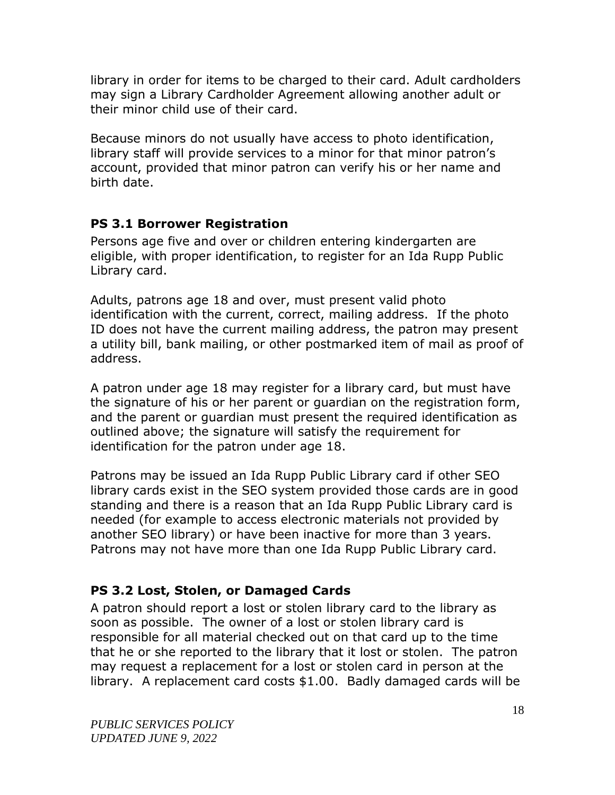library in order for items to be charged to their card. Adult cardholders may sign a Library Cardholder Agreement allowing another adult or their minor child use of their card.

Because minors do not usually have access to photo identification, library staff will provide services to a minor for that minor patron's account, provided that minor patron can verify his or her name and birth date.

# <span id="page-19-0"></span>**PS 3.1 Borrower Registration**

Persons age five and over or children entering kindergarten are eligible, with proper identification, to register for an Ida Rupp Public Library card.

Adults, patrons age 18 and over, must present valid photo identification with the current, correct, mailing address. If the photo ID does not have the current mailing address, the patron may present a utility bill, bank mailing, or other postmarked item of mail as proof of address.

A patron under age 18 may register for a library card, but must have the signature of his or her parent or guardian on the registration form, and the parent or guardian must present the required identification as outlined above; the signature will satisfy the requirement for identification for the patron under age 18.

Patrons may be issued an Ida Rupp Public Library card if other SEO library cards exist in the SEO system provided those cards are in good standing and there is a reason that an Ida Rupp Public Library card is needed (for example to access electronic materials not provided by another SEO library) or have been inactive for more than 3 years. Patrons may not have more than one Ida Rupp Public Library card.

# <span id="page-19-1"></span>**PS 3.2 Lost, Stolen, or Damaged Cards**

A patron should report a lost or stolen library card to the library as soon as possible. The owner of a lost or stolen library card is responsible for all material checked out on that card up to the time that he or she reported to the library that it lost or stolen. The patron may request a replacement for a lost or stolen card in person at the library. A replacement card costs \$1.00. Badly damaged cards will be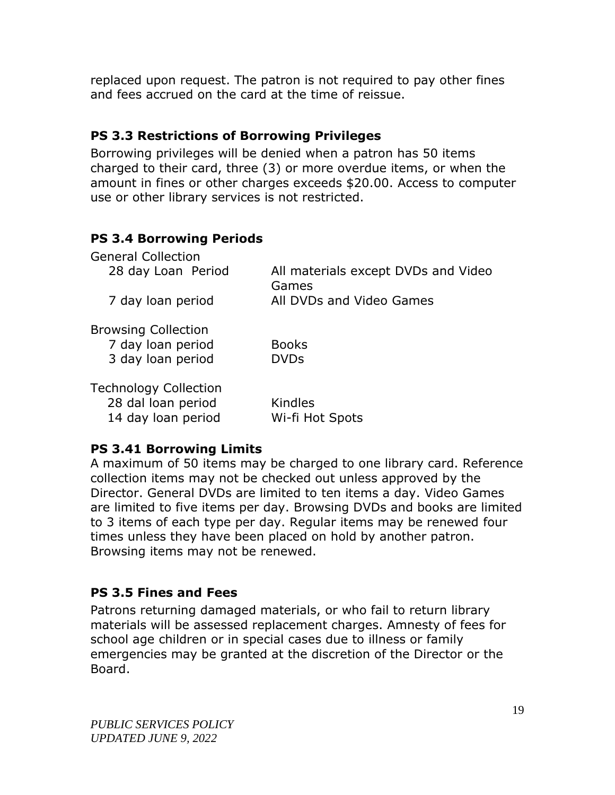replaced upon request. The patron is not required to pay other fines and fees accrued on the card at the time of reissue.

# <span id="page-20-0"></span>**PS 3.3 Restrictions of Borrowing Privileges**

Borrowing privileges will be denied when a patron has 50 items charged to their card, three (3) or more overdue items, or when the amount in fines or other charges exceeds \$20.00. Access to computer use or other library services is not restricted.

# <span id="page-20-1"></span>**PS 3.4 Borrowing Periods**

| <b>General Collection</b>    |                                              |  |
|------------------------------|----------------------------------------------|--|
| 28 day Loan Period           | All materials except DVDs and Video<br>Games |  |
| 7 day loan period            | All DVDs and Video Games                     |  |
| <b>Browsing Collection</b>   |                                              |  |
| 7 day loan period            | <b>Books</b>                                 |  |
| 3 day loan period            | <b>DVDs</b>                                  |  |
| <b>Technology Collection</b> |                                              |  |
| 28 dal loan period           | Kindles                                      |  |
| 14 day loan period           | Wi-fi Hot Spots                              |  |

# <span id="page-20-2"></span>**PS 3.41 Borrowing Limits**

A maximum of 50 items may be charged to one library card. Reference collection items may not be checked out unless approved by the Director. General DVDs are limited to ten items a day. Video Games are limited to five items per day. Browsing DVDs and books are limited to 3 items of each type per day. Regular items may be renewed four times unless they have been placed on hold by another patron. Browsing items may not be renewed.

# <span id="page-20-3"></span>**PS 3.5 Fines and Fees**

Patrons returning damaged materials, or who fail to return library materials will be assessed replacement charges. Amnesty of fees for school age children or in special cases due to illness or family emergencies may be granted at the discretion of the Director or the Board.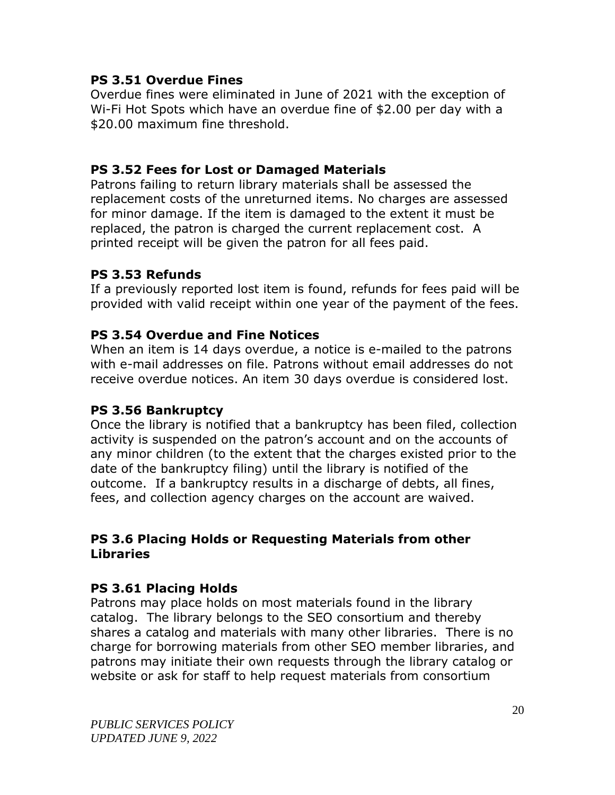#### <span id="page-21-0"></span>**PS 3.51 Overdue Fines**

Overdue fines were eliminated in June of 2021 with the exception of Wi-Fi Hot Spots which have an overdue fine of \$2.00 per day with a \$20.00 maximum fine threshold.

# <span id="page-21-1"></span>**PS 3.52 Fees for Lost or Damaged Materials**

Patrons failing to return library materials shall be assessed the replacement costs of the unreturned items. No charges are assessed for minor damage. If the item is damaged to the extent it must be replaced, the patron is charged the current replacement cost. A printed receipt will be given the patron for all fees paid.

# <span id="page-21-2"></span>**PS 3.53 Refunds**

If a previously reported lost item is found, refunds for fees paid will be provided with valid receipt within one year of the payment of the fees.

#### <span id="page-21-3"></span>**PS 3.54 Overdue and Fine Notices**

When an item is 14 days overdue, a notice is e-mailed to the patrons with e-mail addresses on file. Patrons without email addresses do not receive overdue notices. An item 30 days overdue is considered lost.

#### <span id="page-21-4"></span>**PS 3.56 Bankruptcy**

Once the library is notified that a bankruptcy has been filed, collection activity is suspended on the patron's account and on the accounts of any minor children (to the extent that the charges existed prior to the date of the bankruptcy filing) until the library is notified of the outcome. If a bankruptcy results in a discharge of debts, all fines, fees, and collection agency charges on the account are waived.

#### <span id="page-21-5"></span>**PS 3.6 Placing Holds or Requesting Materials from other Libraries**

# <span id="page-21-6"></span>**PS 3.61 Placing Holds**

Patrons may place holds on most materials found in the library catalog. The library belongs to the SEO consortium and thereby shares a catalog and materials with many other libraries. There is no charge for borrowing materials from other SEO member libraries, and patrons may initiate their own requests through the library catalog or website or ask for staff to help request materials from consortium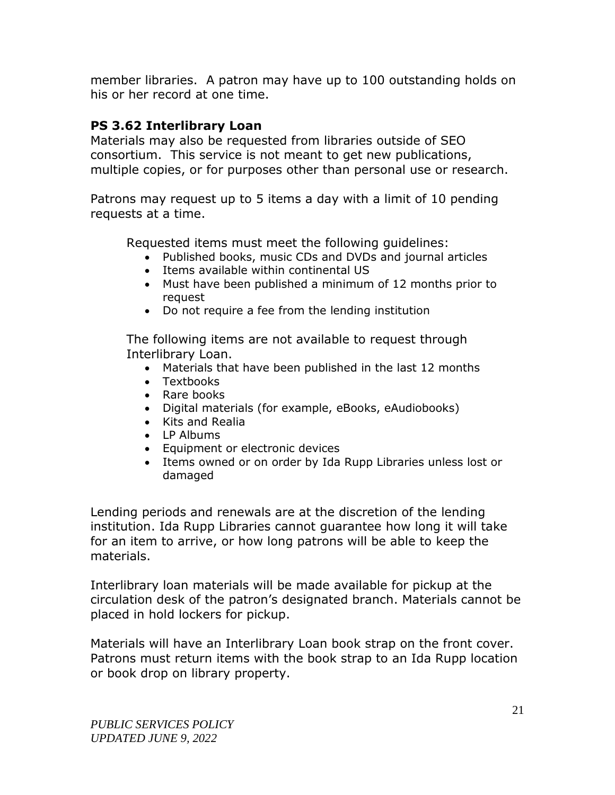member libraries. A patron may have up to 100 outstanding holds on his or her record at one time.

# <span id="page-22-0"></span>**PS 3.62 Interlibrary Loan**

Materials may also be requested from libraries outside of SEO consortium. This service is not meant to get new publications, multiple copies, or for purposes other than personal use or research.

Patrons may request up to 5 items a day with a limit of 10 pending requests at a time.

Requested items must meet the following guidelines:

- Published books, music CDs and DVDs and journal articles
- Items available within continental US
- Must have been published a minimum of 12 months prior to request
- Do not require a fee from the lending institution

The following items are not available to request through Interlibrary Loan.

- Materials that have been published in the last 12 months
- Textbooks
- Rare books
- Digital materials (for example, eBooks, eAudiobooks)
- Kits and Realia
- $\bullet$  IP Albums
- Equipment or electronic devices
- Items owned or on order by Ida Rupp Libraries unless lost or damaged

Lending periods and renewals are at the discretion of the lending institution. Ida Rupp Libraries cannot guarantee how long it will take for an item to arrive, or how long patrons will be able to keep the materials.

Interlibrary loan materials will be made available for pickup at the circulation desk of the patron's designated branch. Materials cannot be placed in hold lockers for pickup.

Materials will have an Interlibrary Loan book strap on the front cover. Patrons must return items with the book strap to an Ida Rupp location or book drop on library property.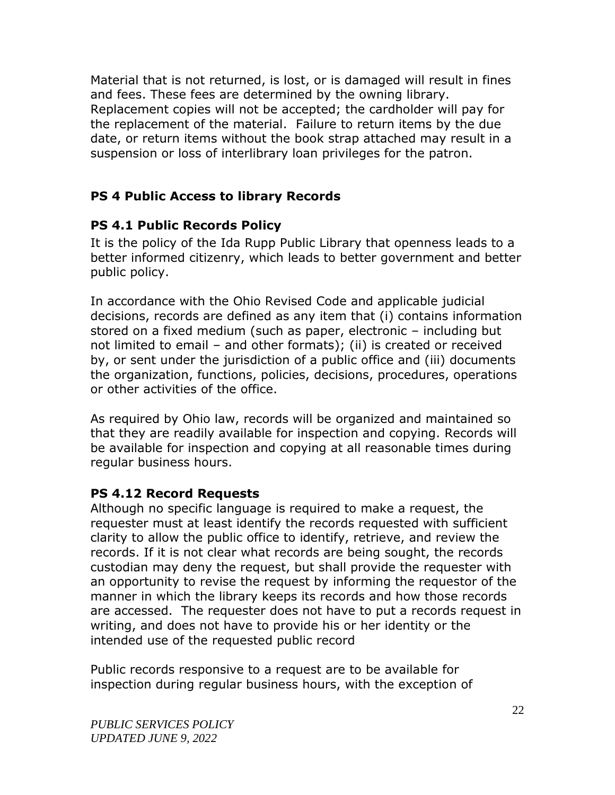Material that is not returned, is lost, or is damaged will result in fines and fees. These fees are determined by the owning library. Replacement copies will not be accepted; the cardholder will pay for the replacement of the material. Failure to return items by the due date, or return items without the book strap attached may result in a suspension or loss of interlibrary loan privileges for the patron.

# <span id="page-23-0"></span>**PS 4 Public Access to library Records**

# <span id="page-23-1"></span>**PS 4.1 Public Records Policy**

It is the policy of the Ida Rupp Public Library that openness leads to a better informed citizenry, which leads to better government and better public policy.

In accordance with the Ohio Revised Code and applicable judicial decisions, records are defined as any item that (i) contains information stored on a fixed medium (such as paper, electronic – including but not limited to email – and other formats); (ii) is created or received by, or sent under the jurisdiction of a public office and (iii) documents the organization, functions, policies, decisions, procedures, operations or other activities of the office.

As required by Ohio law, records will be organized and maintained so that they are readily available for inspection and copying. Records will be available for inspection and copying at all reasonable times during regular business hours.

# <span id="page-23-2"></span>**PS 4.12 Record Requests**

Although no specific language is required to make a request, the requester must at least identify the records requested with sufficient clarity to allow the public office to identify, retrieve, and review the records. If it is not clear what records are being sought, the records custodian may deny the request, but shall provide the requester with an opportunity to revise the request by informing the requestor of the manner in which the library keeps its records and how those records are accessed. The requester does not have to put a records request in writing, and does not have to provide his or her identity or the intended use of the requested public record

Public records responsive to a request are to be available for inspection during regular business hours, with the exception of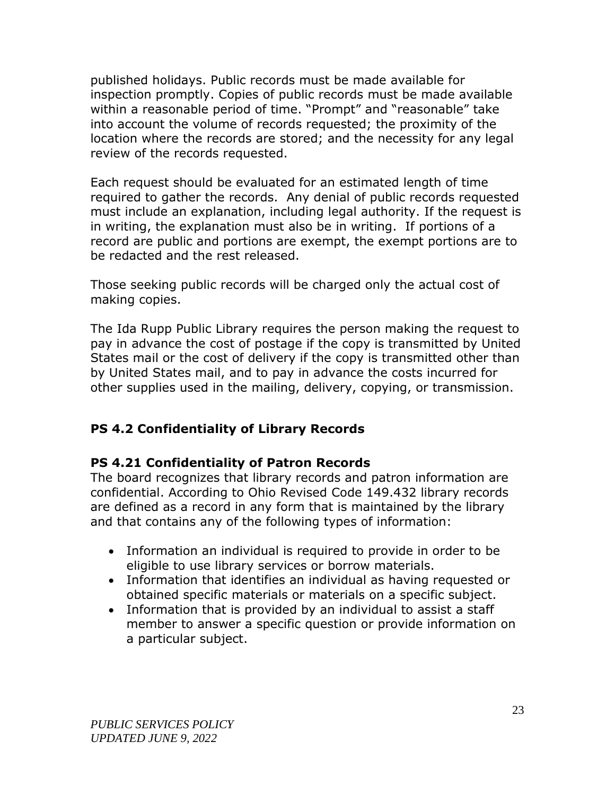published holidays. Public records must be made available for inspection promptly. Copies of public records must be made available within a reasonable period of time. "Prompt" and "reasonable" take into account the volume of records requested; the proximity of the location where the records are stored; and the necessity for any legal review of the records requested.

Each request should be evaluated for an estimated length of time required to gather the records. Any denial of public records requested must include an explanation, including legal authority. If the request is in writing, the explanation must also be in writing. If portions of a record are public and portions are exempt, the exempt portions are to be redacted and the rest released.

Those seeking public records will be charged only the actual cost of making copies.

The Ida Rupp Public Library requires the person making the request to pay in advance the cost of postage if the copy is transmitted by United States mail or the cost of delivery if the copy is transmitted other than by United States mail, and to pay in advance the costs incurred for other supplies used in the mailing, delivery, copying, or transmission.

# <span id="page-24-0"></span>**PS 4.2 Confidentiality of Library Records**

# <span id="page-24-1"></span>**PS 4.21 Confidentiality of Patron Records**

The board recognizes that library records and patron information are confidential. According to Ohio Revised Code 149.432 library records are defined as a record in any form that is maintained by the library and that contains any of the following types of information:

- Information an individual is required to provide in order to be eligible to use library services or borrow materials.
- Information that identifies an individual as having requested or obtained specific materials or materials on a specific subject.
- Information that is provided by an individual to assist a staff member to answer a specific question or provide information on a particular subject.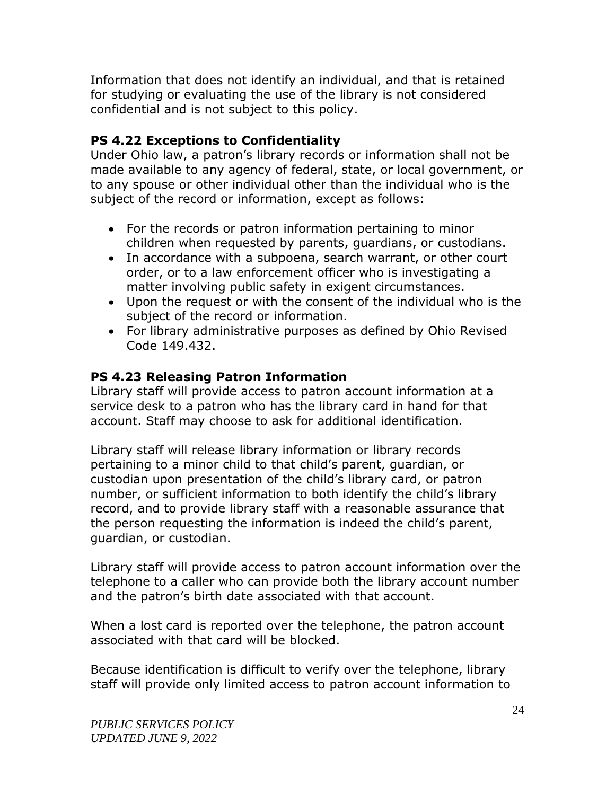Information that does not identify an individual, and that is retained for studying or evaluating the use of the library is not considered confidential and is not subject to this policy.

# <span id="page-25-0"></span>**PS 4.22 Exceptions to Confidentiality**

Under Ohio law, a patron's library records or information shall not be made available to any agency of federal, state, or local government, or to any spouse or other individual other than the individual who is the subject of the record or information, except as follows:

- For the records or patron information pertaining to minor children when requested by parents, guardians, or custodians.
- In accordance with a subpoena, search warrant, or other court order, or to a law enforcement officer who is investigating a matter involving public safety in exigent circumstances.
- Upon the request or with the consent of the individual who is the subject of the record or information.
- For library administrative purposes as defined by Ohio Revised Code 149.432.

# <span id="page-25-1"></span>**PS 4.23 Releasing Patron Information**

Library staff will provide access to patron account information at a service desk to a patron who has the library card in hand for that account. Staff may choose to ask for additional identification.

Library staff will release library information or library records pertaining to a minor child to that child's parent, guardian, or custodian upon presentation of the child's library card, or patron number, or sufficient information to both identify the child's library record, and to provide library staff with a reasonable assurance that the person requesting the information is indeed the child's parent, guardian, or custodian.

Library staff will provide access to patron account information over the telephone to a caller who can provide both the library account number and the patron's birth date associated with that account.

When a lost card is reported over the telephone, the patron account associated with that card will be blocked.

Because identification is difficult to verify over the telephone, library staff will provide only limited access to patron account information to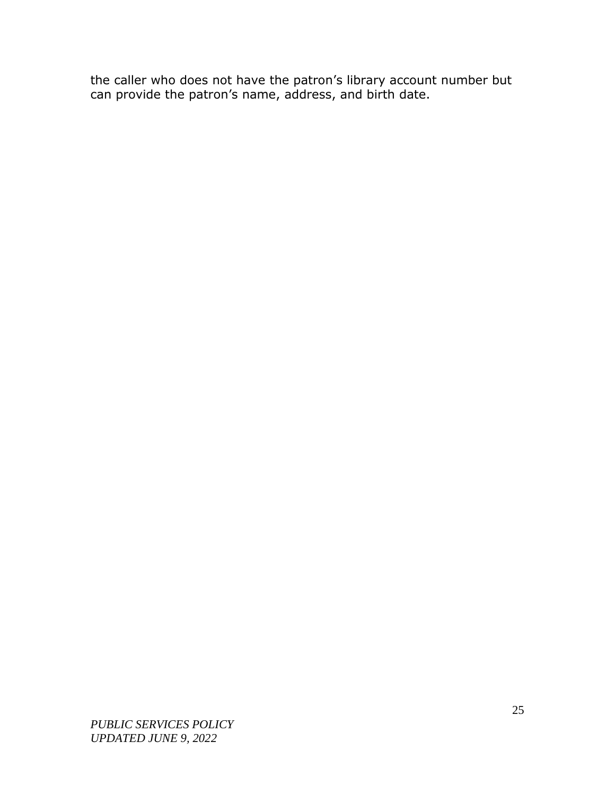the caller who does not have the patron's library account number but can provide the patron's name, address, and birth date.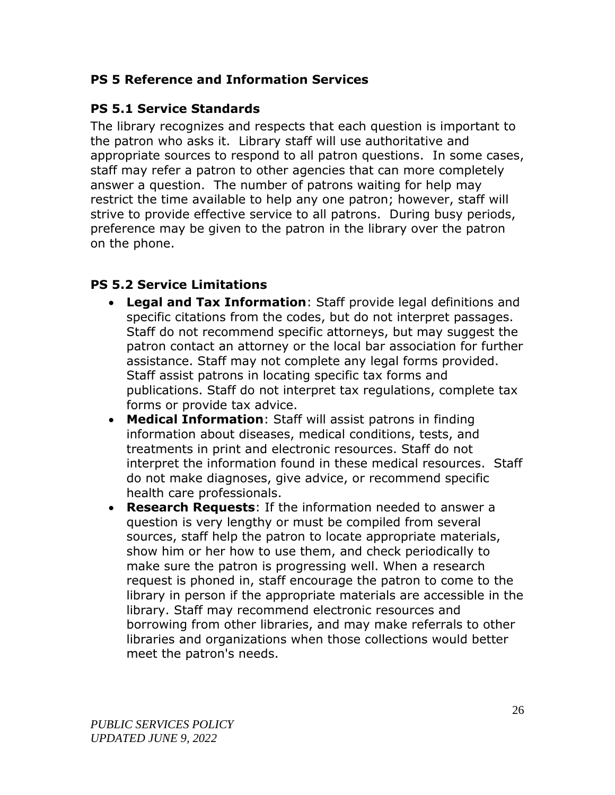# <span id="page-27-0"></span>**PS 5 Reference and Information Services**

# <span id="page-27-1"></span>**PS 5.1 Service Standards**

The library recognizes and respects that each question is important to the patron who asks it.Library staff will use authoritative and appropriate sources to respond to all patron questions. In some cases, staff may refer a patron to other agencies that can more completely answer a question. The number of patrons waiting for help may restrict the time available to help any one patron; however, staff will strive to provide effective service to all patrons. During busy periods, preference may be given to the patron in the library over the patron on the phone.

# <span id="page-27-2"></span>**PS 5.2 Service Limitations**

- **Legal and Tax Information**: Staff provide legal definitions and specific citations from the codes, but do not interpret passages. Staff do not recommend specific attorneys, but may suggest the patron contact an attorney or the local bar association for further assistance. Staff may not complete any legal forms provided. Staff assist patrons in locating specific tax forms and publications. Staff do not interpret tax regulations, complete tax forms or provide tax advice.
- **Medical Information**: Staff will assist patrons in finding information about diseases, medical conditions, tests, and treatments in print and electronic resources. Staff do not interpret the information found in these medical resources. Staff do not make diagnoses, give advice, or recommend specific health care professionals.
- **Research Requests**: If the information needed to answer a question is very lengthy or must be compiled from several sources, staff help the patron to locate appropriate materials, show him or her how to use them, and check periodically to make sure the patron is progressing well. When a research request is phoned in, staff encourage the patron to come to the library in person if the appropriate materials are accessible in the library. Staff may recommend electronic resources and borrowing from other libraries, and may make referrals to other libraries and organizations when those collections would better meet the patron's needs.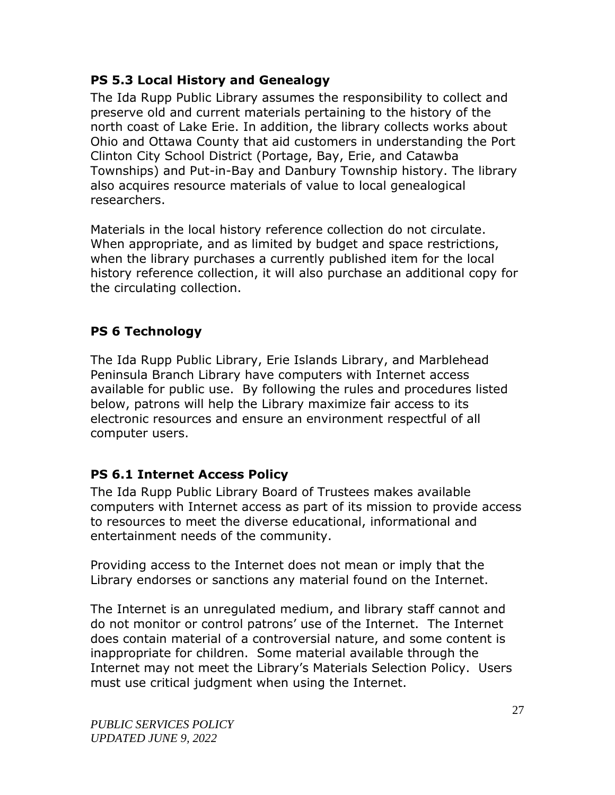# <span id="page-28-0"></span>**PS 5.3 Local History and Genealogy**

The Ida Rupp Public Library assumes the responsibility to collect and preserve old and current materials pertaining to the history of the north coast of Lake Erie. In addition, the library collects works about Ohio and Ottawa County that aid customers in understanding the Port Clinton City School District (Portage, Bay, Erie, and Catawba Townships) and Put-in-Bay and Danbury Township history. The library also acquires resource materials of value to local genealogical researchers.

Materials in the local history reference collection do not circulate. When appropriate, and as limited by budget and space restrictions, when the library purchases a currently published item for the local history reference collection, it will also purchase an additional copy for the circulating collection.

# <span id="page-28-1"></span>**PS 6 Technology**

The Ida Rupp Public Library, Erie Islands Library, and Marblehead Peninsula Branch Library have computers with Internet access available for public use. By following the rules and procedures listed below, patrons will help the Library maximize fair access to its electronic resources and ensure an environment respectful of all computer users.

# <span id="page-28-2"></span>**PS 6.1 Internet Access Policy**

The Ida Rupp Public Library Board of Trustees makes available computers with Internet access as part of its mission to provide access to resources to meet the diverse educational, informational and entertainment needs of the community.

Providing access to the Internet does not mean or imply that the Library endorses or sanctions any material found on the Internet.

The Internet is an unregulated medium, and library staff cannot and do not monitor or control patrons' use of the Internet. The Internet does contain material of a controversial nature, and some content is inappropriate for children. Some material available through the Internet may not meet the Library's Materials Selection Policy. Users must use critical judgment when using the Internet.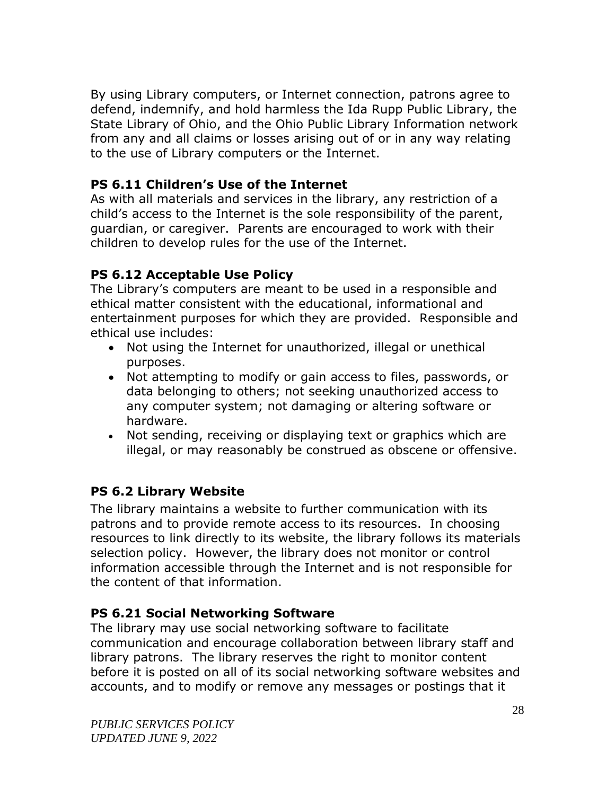By using Library computers, or Internet connection, patrons agree to defend, indemnify, and hold harmless the Ida Rupp Public Library, the State Library of Ohio, and the Ohio Public Library Information network from any and all claims or losses arising out of or in any way relating to the use of Library computers or the Internet.

# <span id="page-29-0"></span>**PS 6.11 Children's Use of the Internet**

As with all materials and services in the library, any restriction of a child's access to the Internet is the sole responsibility of the parent, guardian, or caregiver. Parents are encouraged to work with their children to develop rules for the use of the Internet.

# <span id="page-29-1"></span>**PS 6.12 Acceptable Use Policy**

The Library's computers are meant to be used in a responsible and ethical matter consistent with the educational, informational and entertainment purposes for which they are provided. Responsible and ethical use includes:

- Not using the Internet for unauthorized, illegal or unethical purposes.
- Not attempting to modify or gain access to files, passwords, or data belonging to others; not seeking unauthorized access to any computer system; not damaging or altering software or hardware.
- Not sending, receiving or displaying text or graphics which are illegal, or may reasonably be construed as obscene or offensive.

# <span id="page-29-2"></span>**PS 6.2 Library Website**

The library maintains a website to further communication with its patrons and to provide remote access to its resources. In choosing resources to link directly to its website, the library follows its materials selection policy. However, the library does not monitor or control information accessible through the Internet and is not responsible for the content of that information.

# <span id="page-29-3"></span>**PS 6.21 Social Networking Software**

The library may use social networking software to facilitate communication and encourage collaboration between library staff and library patrons. The library reserves the right to monitor content before it is posted on all of its social networking software websites and accounts, and to modify or remove any messages or postings that it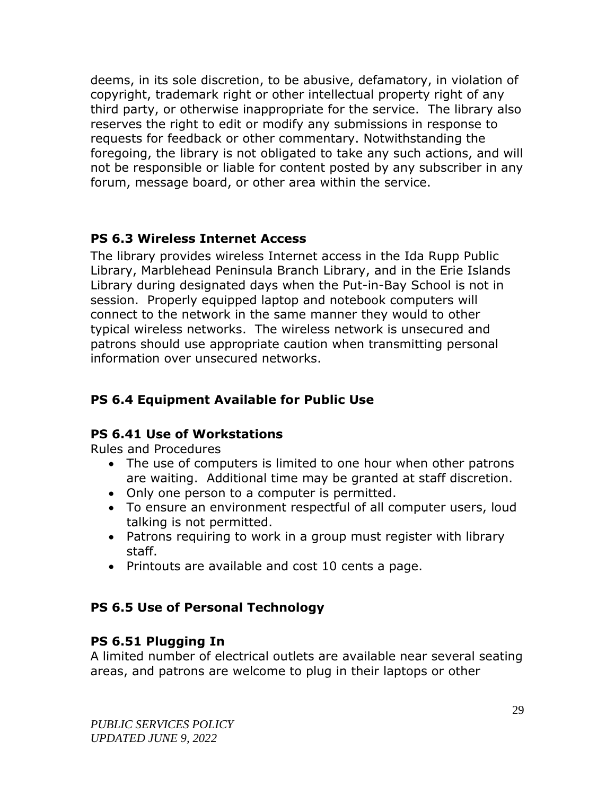deems, in its sole discretion, to be abusive, defamatory, in violation of copyright, trademark right or other intellectual property right of any third party, or otherwise inappropriate for the service. The library also reserves the right to edit or modify any submissions in response to requests for feedback or other commentary. Notwithstanding the foregoing, the library is not obligated to take any such actions, and will not be responsible or liable for content posted by any subscriber in any forum, message board, or other area within the service.

# <span id="page-30-0"></span>**PS 6.3 Wireless Internet Access**

The library provides wireless Internet access in the Ida Rupp Public Library, Marblehead Peninsula Branch Library, and in the Erie Islands Library during designated days when the Put-in-Bay School is not in session. Properly equipped laptop and notebook computers will connect to the network in the same manner they would to other typical wireless networks. The wireless network is unsecured and patrons should use appropriate caution when transmitting personal information over unsecured networks.

# <span id="page-30-1"></span>**PS 6.4 Equipment Available for Public Use**

# <span id="page-30-2"></span>**PS 6.41 Use of Workstations**

Rules and Procedures

- The use of computers is limited to one hour when other patrons are waiting. Additional time may be granted at staff discretion.
- Only one person to a computer is permitted.
- To ensure an environment respectful of all computer users, loud talking is not permitted.
- Patrons requiring to work in a group must register with library staff.
- Printouts are available and cost 10 cents a page.

# <span id="page-30-3"></span>**PS 6.5 Use of Personal Technology**

# <span id="page-30-4"></span>**PS 6.51 Plugging In**

A limited number of electrical outlets are available near several seating areas, and patrons are welcome to plug in their laptops or other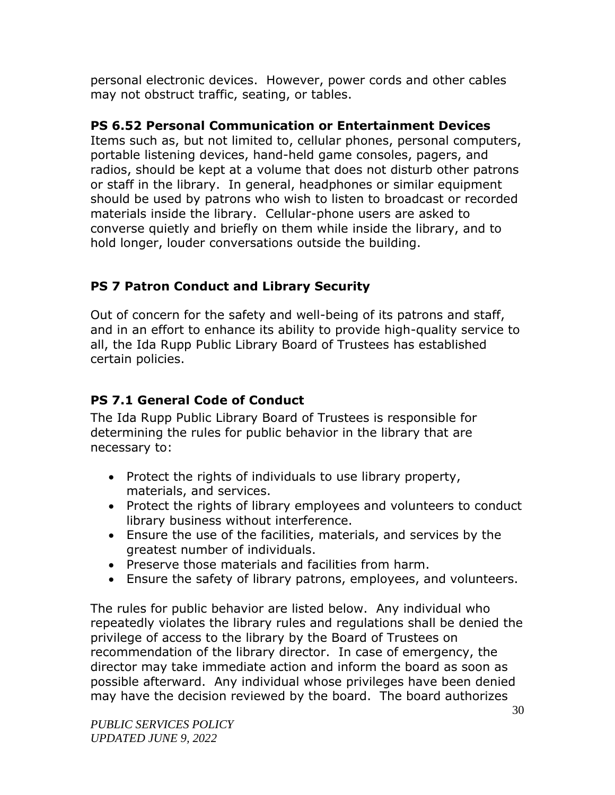personal electronic devices. However, power cords and other cables may not obstruct traffic, seating, or tables.

# <span id="page-31-0"></span>**PS 6.52 Personal Communication or Entertainment Devices**

Items such as, but not limited to, cellular phones, personal computers, portable listening devices, hand-held game consoles, pagers, and radios, should be kept at a volume that does not disturb other patrons or staff in the library. In general, headphones or similar equipment should be used by patrons who wish to listen to broadcast or recorded materials inside the library. Cellular-phone users are asked to converse quietly and briefly on them while inside the library, and to hold longer, louder conversations outside the building.

# <span id="page-31-1"></span>**PS 7 Patron Conduct and Library Security**

Out of concern for the safety and well-being of its patrons and staff, and in an effort to enhance its ability to provide high-quality service to all, the Ida Rupp Public Library Board of Trustees has established certain policies.

# <span id="page-31-2"></span>**PS 7.1 General Code of Conduct**

The Ida Rupp Public Library Board of Trustees is responsible for determining the rules for public behavior in the library that are necessary to:

- Protect the rights of individuals to use library property, materials, and services.
- Protect the rights of library employees and volunteers to conduct library business without interference.
- Ensure the use of the facilities, materials, and services by the greatest number of individuals.
- Preserve those materials and facilities from harm.
- Ensure the safety of library patrons, employees, and volunteers.

The rules for public behavior are listed below. Any individual who repeatedly violates the library rules and regulations shall be denied the privilege of access to the library by the Board of Trustees on recommendation of the library director. In case of emergency, the director may take immediate action and inform the board as soon as possible afterward. Any individual whose privileges have been denied may have the decision reviewed by the board. The board authorizes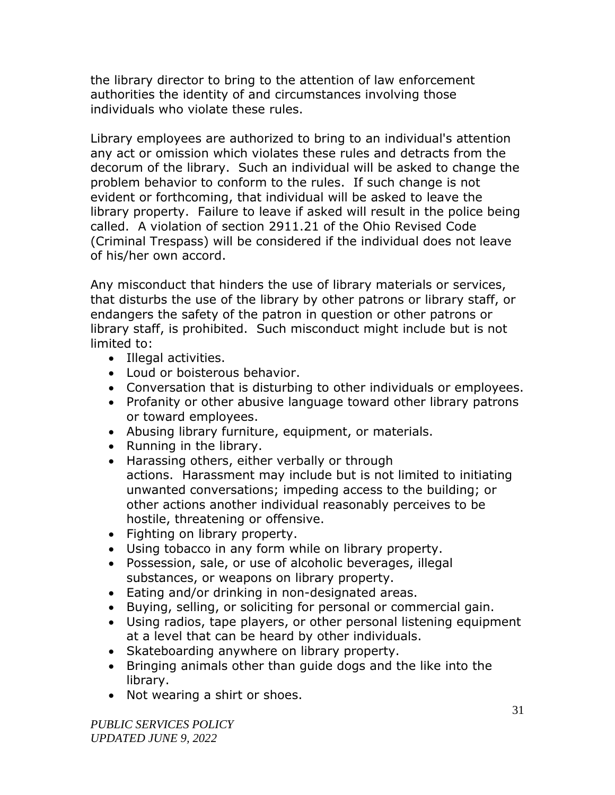the library director to bring to the attention of law enforcement authorities the identity of and circumstances involving those individuals who violate these rules.

Library employees are authorized to bring to an individual's attention any act or omission which violates these rules and detracts from the decorum of the library. Such an individual will be asked to change the problem behavior to conform to the rules. If such change is not evident or forthcoming, that individual will be asked to leave the library property. Failure to leave if asked will result in the police being called. A violation of section 2911.21 of the Ohio Revised Code (Criminal Trespass) will be considered if the individual does not leave of his/her own accord.

Any misconduct that hinders the use of library materials or services, that disturbs the use of the library by other patrons or library staff, or endangers the safety of the patron in question or other patrons or library staff, is prohibited. Such misconduct might include but is not limited to:

- Illegal activities.
- Loud or boisterous behavior.
- Conversation that is disturbing to other individuals or employees.
- Profanity or other abusive language toward other library patrons or toward employees.
- Abusing library furniture, equipment, or materials.
- Running in the library.
- Harassing others, either verbally or through actions. Harassment may include but is not limited to initiating unwanted conversations; impeding access to the building; or other actions another individual reasonably perceives to be hostile, threatening or offensive.
- Fighting on library property.
- Using tobacco in any form while on library property.
- Possession, sale, or use of alcoholic beverages, illegal substances, or weapons on library property.
- Eating and/or drinking in non-designated areas.
- Buying, selling, or soliciting for personal or commercial gain.
- Using radios, tape players, or other personal listening equipment at a level that can be heard by other individuals.
- Skateboarding anywhere on library property.
- Bringing animals other than guide dogs and the like into the library.
- Not wearing a shirt or shoes.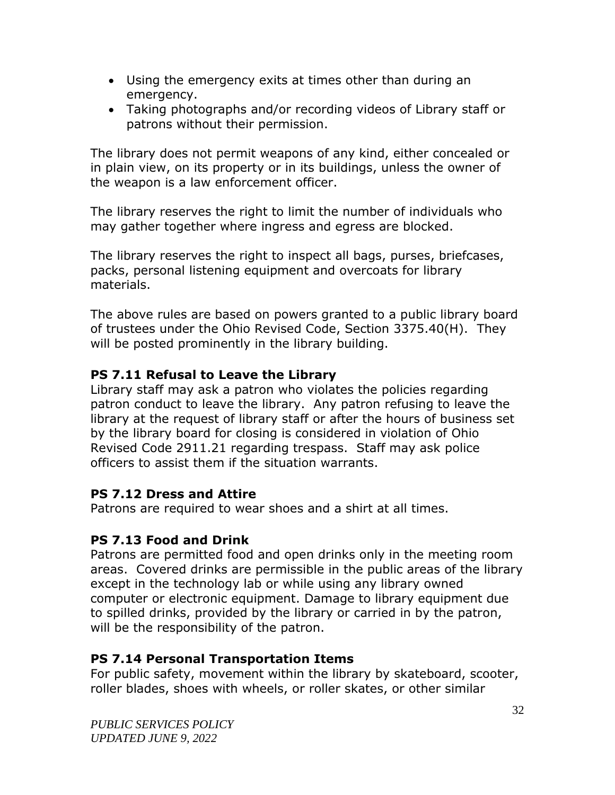- Using the emergency exits at times other than during an emergency.
- Taking photographs and/or recording videos of Library staff or patrons without their permission.

The library does not permit weapons of any kind, either concealed or in plain view, on its property or in its buildings, unless the owner of the weapon is a law enforcement officer.

The library reserves the right to limit the number of individuals who may gather together where ingress and egress are blocked.

The library reserves the right to inspect all bags, purses, briefcases, packs, personal listening equipment and overcoats for library materials.

The above rules are based on powers granted to a public library board of trustees under the Ohio Revised Code, Section 3375.40(H). They will be posted prominently in the library building.

# <span id="page-33-0"></span>**PS 7.11 Refusal to Leave the Library**

Library staff may ask a patron who violates the policies regarding patron conduct to leave the library. Any patron refusing to leave the library at the request of library staff or after the hours of business set by the library board for closing is considered in violation of Ohio Revised Code 2911.21 regarding trespass. Staff may ask police officers to assist them if the situation warrants.

#### <span id="page-33-1"></span>**PS 7.12 Dress and Attire**

Patrons are required to wear shoes and a shirt at all times.

# <span id="page-33-2"></span>**PS 7.13 Food and Drink**

Patrons are permitted food and open drinks only in the meeting room areas. Covered drinks are permissible in the public areas of the library except in the technology lab or while using any library owned computer or electronic equipment. Damage to library equipment due to spilled drinks, provided by the library or carried in by the patron, will be the responsibility of the patron.

# <span id="page-33-3"></span>**PS 7.14 Personal Transportation Items**

For public safety, movement within the library by skateboard, scooter, roller blades, shoes with wheels, or roller skates, or other similar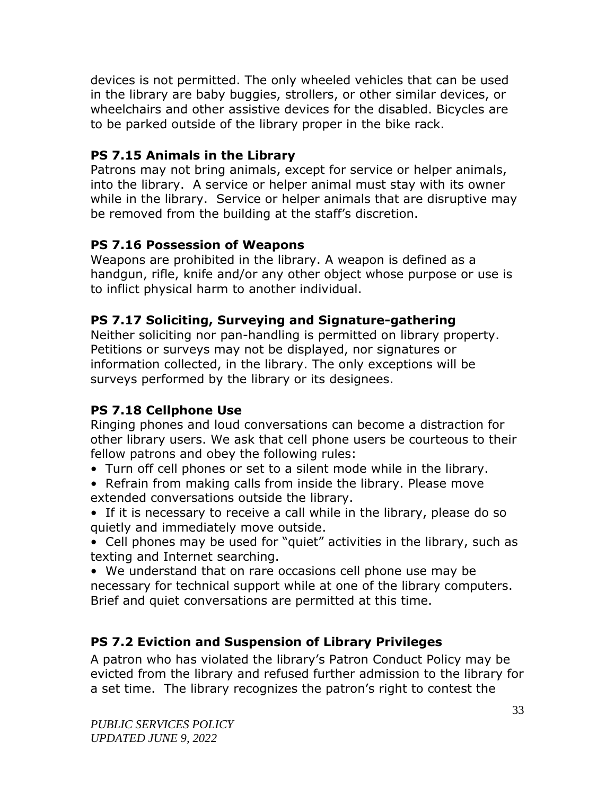devices is not permitted. The only wheeled vehicles that can be used in the library are baby buggies, strollers, or other similar devices, or wheelchairs and other assistive devices for the disabled. Bicycles are to be parked outside of the library proper in the bike rack.

# <span id="page-34-0"></span>**PS 7.15 Animals in the Library**

Patrons may not bring animals, except for service or helper animals, into the library. A service or helper animal must stay with its owner while in the library. Service or helper animals that are disruptive may be removed from the building at the staff's discretion.

# <span id="page-34-1"></span>**PS 7.16 Possession of Weapons**

Weapons are prohibited in the library. A weapon is defined as a handgun, rifle, knife and/or any other object whose purpose or use is to inflict physical harm to another individual.

# <span id="page-34-2"></span>**PS 7.17 Soliciting, Surveying and Signature-gathering**

Neither soliciting nor pan-handling is permitted on library property. Petitions or surveys may not be displayed, nor signatures or information collected, in the library. The only exceptions will be surveys performed by the library or its designees.

# <span id="page-34-3"></span>**PS 7.18 Cellphone Use**

Ringing phones and loud conversations can become a distraction for other library users. We ask that cell phone users be courteous to their fellow patrons and obey the following rules:

- Turn off cell phones or set to a silent mode while in the library.
- Refrain from making calls from inside the library. Please move extended conversations outside the library.
- If it is necessary to receive a call while in the library, please do so quietly and immediately move outside.

• Cell phones may be used for "quiet" activities in the library, such as texting and Internet searching.

• We understand that on rare occasions cell phone use may be necessary for technical support while at one of the library computers. Brief and quiet conversations are permitted at this time.

# <span id="page-34-4"></span>**PS 7.2 Eviction and Suspension of Library Privileges**

A patron who has violated the library's Patron Conduct Policy may be evicted from the library and refused further admission to the library for a set time. The library recognizes the patron's right to contest the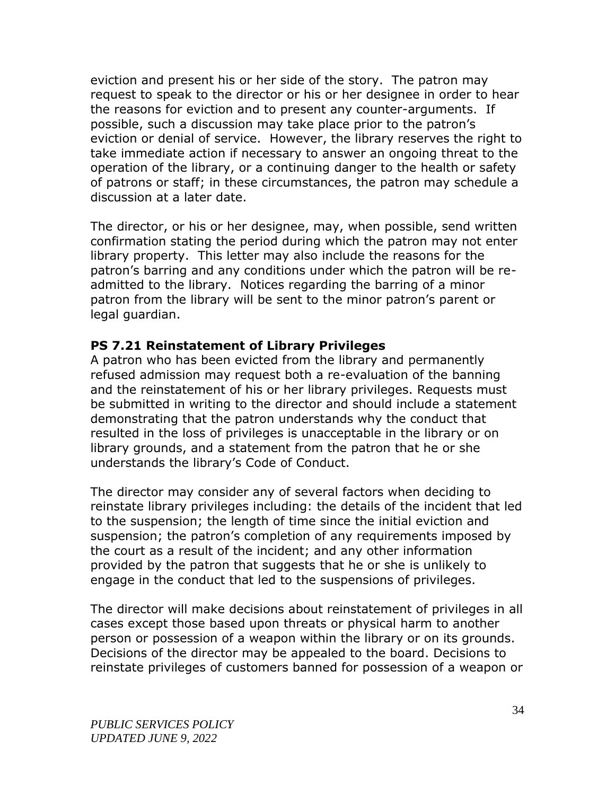eviction and present his or her side of the story. The patron may request to speak to the director or his or her designee in order to hear the reasons for eviction and to present any counter-arguments. If possible, such a discussion may take place prior to the patron's eviction or denial of service. However, the library reserves the right to take immediate action if necessary to answer an ongoing threat to the operation of the library, or a continuing danger to the health or safety of patrons or staff; in these circumstances, the patron may schedule a discussion at a later date.

The director, or his or her designee, may, when possible, send written confirmation stating the period during which the patron may not enter library property. This letter may also include the reasons for the patron's barring and any conditions under which the patron will be readmitted to the library. Notices regarding the barring of a minor patron from the library will be sent to the minor patron's parent or legal guardian.

#### <span id="page-35-0"></span>**PS 7.21 Reinstatement of Library Privileges**

A patron who has been evicted from the library and permanently refused admission may request both a re-evaluation of the banning and the reinstatement of his or her library privileges. Requests must be submitted in writing to the director and should include a statement demonstrating that the patron understands why the conduct that resulted in the loss of privileges is unacceptable in the library or on library grounds, and a statement from the patron that he or she understands the library's Code of Conduct.

The director may consider any of several factors when deciding to reinstate library privileges including: the details of the incident that led to the suspension; the length of time since the initial eviction and suspension; the patron's completion of any requirements imposed by the court as a result of the incident; and any other information provided by the patron that suggests that he or she is unlikely to engage in the conduct that led to the suspensions of privileges.

The director will make decisions about reinstatement of privileges in all cases except those based upon threats or physical harm to another person or possession of a weapon within the library or on its grounds. Decisions of the director may be appealed to the board. Decisions to reinstate privileges of customers banned for possession of a weapon or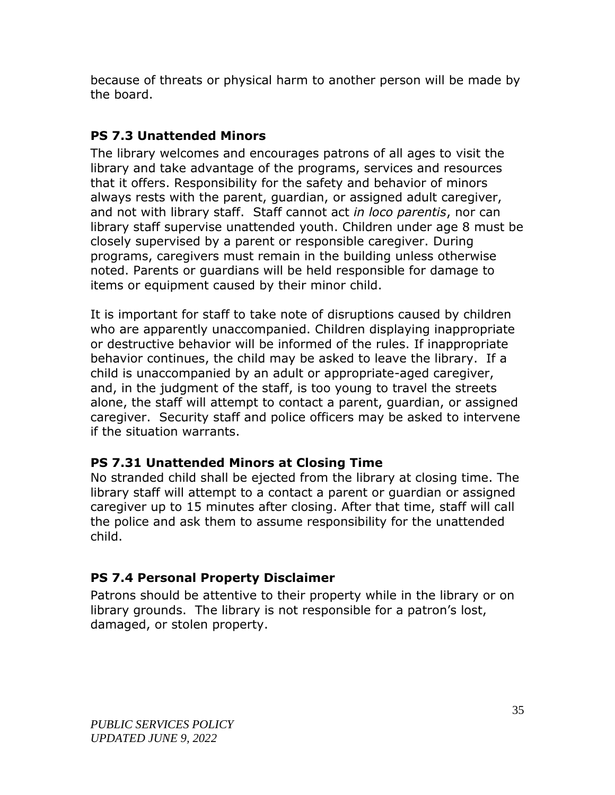because of threats or physical harm to another person will be made by the board.

# <span id="page-36-0"></span>**PS 7.3 Unattended Minors**

The library welcomes and encourages patrons of all ages to visit the library and take advantage of the programs, services and resources that it offers. Responsibility for the safety and behavior of minors always rests with the parent, guardian, or assigned adult caregiver, and not with library staff. Staff cannot act *in loco parentis*, nor can library staff supervise unattended youth. Children under age 8 must be closely supervised by a parent or responsible caregiver. During programs, caregivers must remain in the building unless otherwise noted. Parents or guardians will be held responsible for damage to items or equipment caused by their minor child.

It is important for staff to take note of disruptions caused by children who are apparently unaccompanied. Children displaying inappropriate or destructive behavior will be informed of the rules. If inappropriate behavior continues, the child may be asked to leave the library. If a child is unaccompanied by an adult or appropriate-aged caregiver, and, in the judgment of the staff, is too young to travel the streets alone, the staff will attempt to contact a parent, guardian, or assigned caregiver. Security staff and police officers may be asked to intervene if the situation warrants.

# <span id="page-36-1"></span>**PS 7.31 Unattended Minors at Closing Time**

No stranded child shall be ejected from the library at closing time. The library staff will attempt to a contact a parent or guardian or assigned caregiver up to 15 minutes after closing. After that time, staff will call the police and ask them to assume responsibility for the unattended child.

# <span id="page-36-2"></span>**PS 7.4 Personal Property Disclaimer**

Patrons should be attentive to their property while in the library or on library grounds. The library is not responsible for a patron's lost, damaged, or stolen property.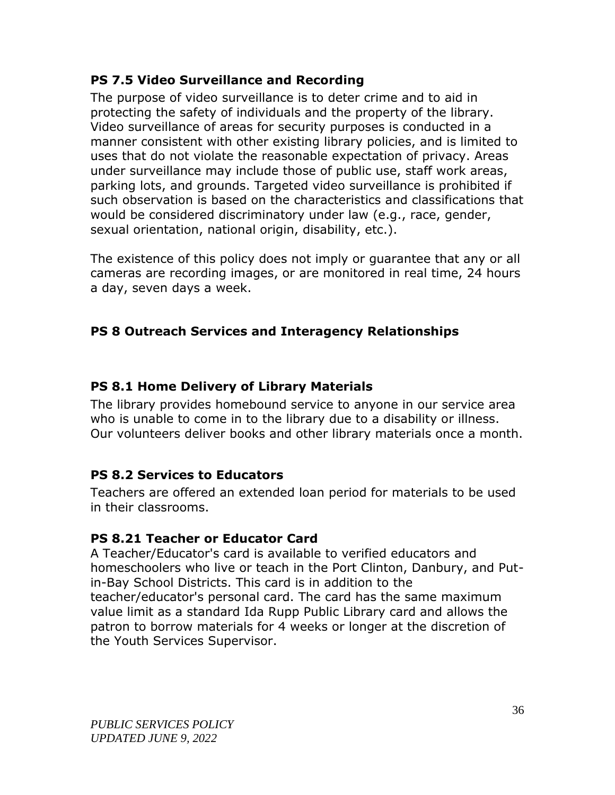# <span id="page-37-0"></span>**PS 7.5 Video Surveillance and Recording**

The purpose of video surveillance is to deter crime and to aid in protecting the safety of individuals and the property of the library. Video surveillance of areas for security purposes is conducted in a manner consistent with other existing library policies, and is limited to uses that do not violate the reasonable expectation of privacy. Areas under surveillance may include those of public use, staff work areas, parking lots, and grounds. Targeted video surveillance is prohibited if such observation is based on the characteristics and classifications that would be considered discriminatory under law (e.g., race, gender, sexual orientation, national origin, disability, etc.).

The existence of this policy does not imply or guarantee that any or all cameras are recording images, or are monitored in real time, 24 hours a day, seven days a week.

# <span id="page-37-1"></span>**PS 8 Outreach Services and Interagency Relationships**

# <span id="page-37-2"></span>**PS 8.1 Home Delivery of Library Materials**

The library provides homebound service to anyone in our service area who is unable to come in to the library due to a disability or illness. Our volunteers deliver books and other library materials once a month.

# <span id="page-37-3"></span>**PS 8.2 Services to Educators**

Teachers are offered an extended loan period for materials to be used in their classrooms.

# <span id="page-37-4"></span>**PS 8.21 Teacher or Educator Card**

A Teacher/Educator's card is available to verified educators and homeschoolers who live or teach in the Port Clinton, Danbury, and Putin-Bay School Districts. This card is in addition to the teacher/educator's personal card. The card has the same maximum value limit as a standard Ida Rupp Public Library card and allows the patron to borrow materials for 4 weeks or longer at the discretion of the Youth Services Supervisor.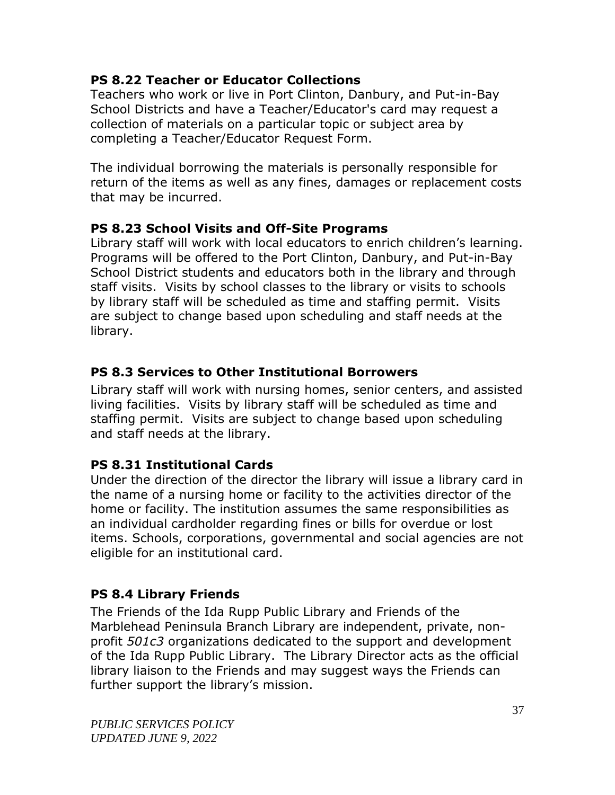# <span id="page-38-0"></span>**PS 8.22 Teacher or Educator Collections**

Teachers who work or live in Port Clinton, Danbury, and Put-in-Bay School Districts and have a Teacher/Educator's card may request a collection of materials on a particular topic or subject area by completing a Teacher/Educator Request Form.

The individual borrowing the materials is personally responsible for return of the items as well as any fines, damages or replacement costs that may be incurred.

# <span id="page-38-1"></span>**PS 8.23 School Visits and Off-Site Programs**

Library staff will work with local educators to enrich children's learning. Programs will be offered to the Port Clinton, Danbury, and Put-in-Bay School District students and educators both in the library and through staff visits. Visits by school classes to the library or visits to schools by library staff will be scheduled as time and staffing permit. Visits are subject to change based upon scheduling and staff needs at the library.

# <span id="page-38-2"></span>**PS 8.3 Services to Other Institutional Borrowers**

Library staff will work with nursing homes, senior centers, and assisted living facilities. Visits by library staff will be scheduled as time and staffing permit. Visits are subject to change based upon scheduling and staff needs at the library.

# <span id="page-38-3"></span>**PS 8.31 Institutional Cards**

Under the direction of the director the library will issue a library card in the name of a nursing home or facility to the activities director of the home or facility. The institution assumes the same responsibilities as an individual cardholder regarding fines or bills for overdue or lost items. Schools, corporations, governmental and social agencies are not eligible for an institutional card.

# <span id="page-38-4"></span>**PS 8.4 Library Friends**

The Friends of the Ida Rupp Public Library and Friends of the Marblehead Peninsula Branch Library are independent, private, nonprofit *501c3* organizations dedicated to the support and development of the Ida Rupp Public Library. The Library Director acts as the official library liaison to the Friends and may suggest ways the Friends can further support the library's mission.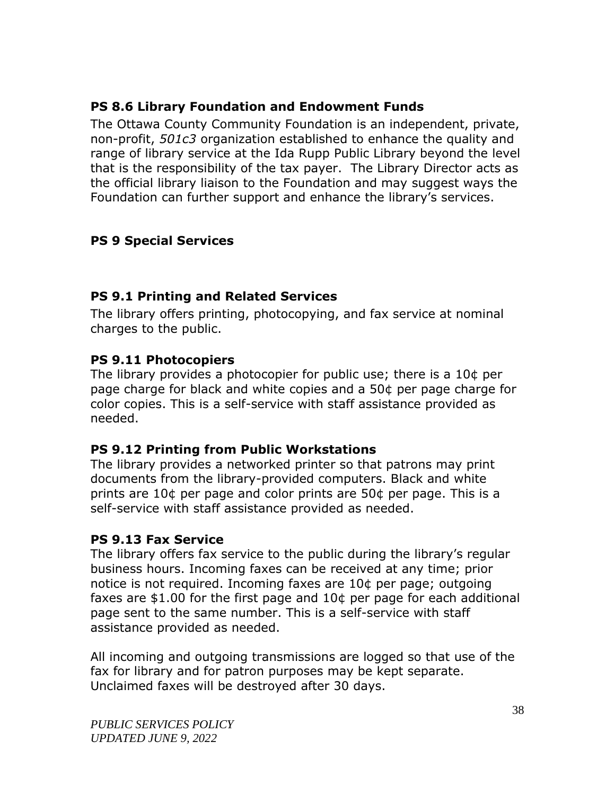# <span id="page-39-0"></span>**PS 8.6 Library Foundation and Endowment Funds**

The Ottawa County Community Foundation is an independent, private, non-profit, *501c3* organization established to enhance the quality and range of library service at the Ida Rupp Public Library beyond the level that is the responsibility of the tax payer. The Library Director acts as the official library liaison to the Foundation and may suggest ways the Foundation can further support and enhance the library's services.

# <span id="page-39-1"></span>**PS 9 Special Services**

# <span id="page-39-2"></span>**PS 9.1 Printing and Related Services**

The library offers printing, photocopying, and fax service at nominal charges to the public.

# <span id="page-39-3"></span>**PS 9.11 Photocopiers**

The library provides a photocopier for public use; there is a 10¢ per page charge for black and white copies and a 50¢ per page charge for color copies. This is a self-service with staff assistance provided as needed.

# <span id="page-39-4"></span>**PS 9.12 Printing from Public Workstations**

The library provides a networked printer so that patrons may print documents from the library-provided computers. Black and white prints are 10¢ per page and color prints are 50¢ per page. This is a self-service with staff assistance provided as needed.

# <span id="page-39-5"></span>**PS 9.13 Fax Service**

The library offers fax service to the public during the library's regular business hours. Incoming faxes can be received at any time; prior notice is not required. Incoming faxes are 10¢ per page; outgoing faxes are \$1.00 for the first page and 10¢ per page for each additional page sent to the same number. This is a self-service with staff assistance provided as needed.

All incoming and outgoing transmissions are logged so that use of the fax for library and for patron purposes may be kept separate. Unclaimed faxes will be destroyed after 30 days.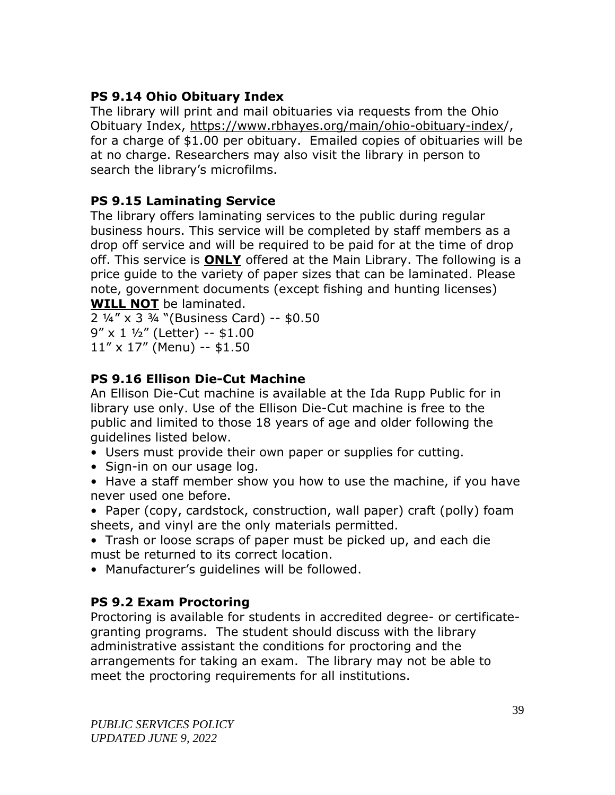# <span id="page-40-0"></span>**PS 9.14 Ohio Obituary Index**

The library will print and mail obituaries via requests from the Ohio Obituary Index, [https://www.rbhayes.org/main/ohio-obituary-index/,](https://www.rbhayes.org/main/ohio-obituary-index/) for a charge of \$1.00 per obituary. Emailed copies of obituaries will be at no charge. Researchers may also visit the library in person to search the library's microfilms.

# <span id="page-40-1"></span>**PS 9.15 Laminating Service**

The library offers laminating services to the public during regular business hours. This service will be completed by staff members as a drop off service and will be required to be paid for at the time of drop off. This service is **ONLY** offered at the Main Library. The following is a price guide to the variety of paper sizes that can be laminated. Please note, government documents (except fishing and hunting licenses) **WILL NOT** be laminated.

2 ¼" x 3 ¾ "(Business Card) -- \$0.50 9" x 1 ½" (Letter) -- \$1.00 11" x 17" (Menu) -- \$1.50

# <span id="page-40-2"></span>**PS 9.16 Ellison Die-Cut Machine**

An Ellison Die-Cut machine is available at the Ida Rupp Public for in library use only. Use of the Ellison Die-Cut machine is free to the public and limited to those 18 years of age and older following the guidelines listed below.

- Users must provide their own paper or supplies for cutting.
- Sign-in on our usage log.

• Have a staff member show you how to use the machine, if you have never used one before.

• Paper (copy, cardstock, construction, wall paper) craft (polly) foam sheets, and vinyl are the only materials permitted.

• Trash or loose scraps of paper must be picked up, and each die must be returned to its correct location.

• Manufacturer's guidelines will be followed.

# <span id="page-40-3"></span>**PS 9.2 Exam Proctoring**

Proctoring is available for students in accredited degree- or certificategranting programs. The student should discuss with the library administrative assistant the conditions for proctoring and the arrangements for taking an exam. The library may not be able to meet the proctoring requirements for all institutions.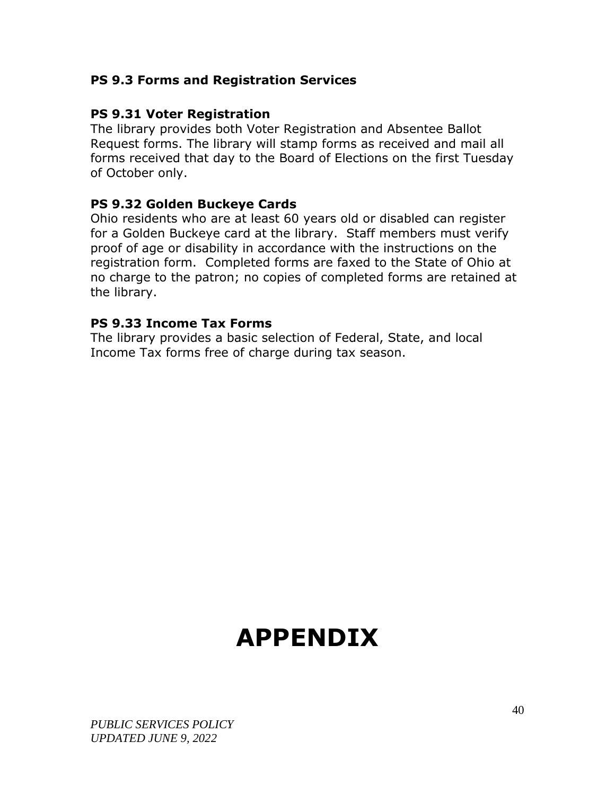#### <span id="page-41-0"></span>**PS 9.3 Forms and Registration Services**

#### <span id="page-41-1"></span>**PS 9.31 Voter Registration**

The library provides both Voter Registration and Absentee Ballot Request forms. The library will stamp forms as received and mail all forms received that day to the Board of Elections on the first Tuesday of October only.

#### <span id="page-41-2"></span>**PS 9.32 Golden Buckeye Cards**

Ohio residents who are at least 60 years old or disabled can register for a Golden Buckeye card at the library. Staff members must verify proof of age or disability in accordance with the instructions on the registration form. Completed forms are faxed to the State of Ohio at no charge to the patron; no copies of completed forms are retained at the library.

#### <span id="page-41-3"></span>**PS 9.33 Income Tax Forms**

The library provides a basic selection of Federal, State, and local Income Tax forms free of charge during tax season.

# <span id="page-41-4"></span>**APPENDIX**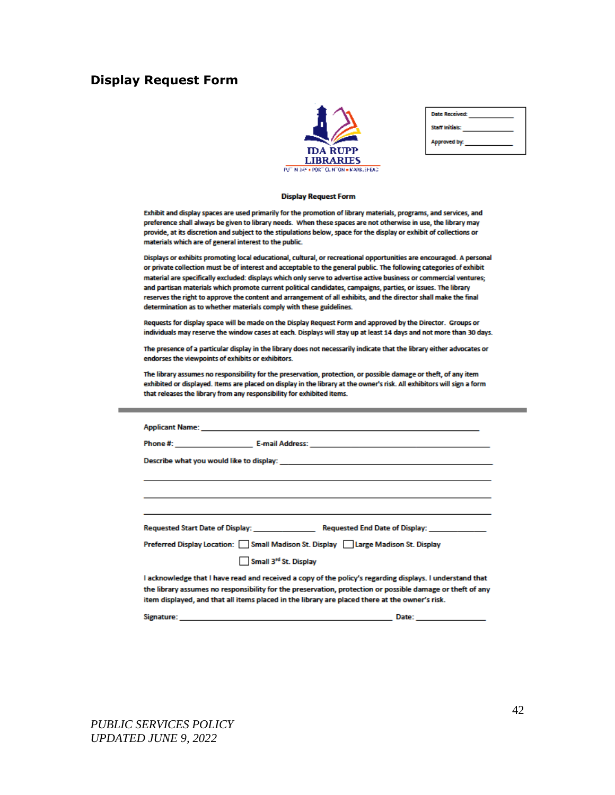#### **Display Request Form**



| <b>Date Received:</b>  |  |
|------------------------|--|
| <b>Staff Initials:</b> |  |
| Approved by:           |  |

#### **Display Request Form**

Exhibit and display spaces are used primarily for the promotion of library materials, programs, and services, and preference shall always be given to library needs. When these spaces are not otherwise in use, the library may provide, at its discretion and subject to the stipulations below, space for the display or exhibit of collections or materials which are of general interest to the public.

Displays or exhibits promoting local educational, cultural, or recreational opportunities are encouraged. A personal or private collection must be of interest and acceptable to the general public. The following categories of exhibit material are specifically excluded: displays which only serve to advertise active business or commercial ventures; and partisan materials which promote current political candidates, campaigns, parties, or issues. The library reserves the right to approve the content and arrangement of all exhibits, and the director shall make the final determination as to whether materials comply with these guidelines.

Requests for display space will be made on the Display Request Form and approved by the Director. Groups or individuals may reserve the window cases at each. Displays will stay up at least 14 days and not more than 30 days.

The presence of a particular display in the library does not necessarily indicate that the library either advocates or endorses the viewpoints of exhibits or exhibitors.

The library assumes no responsibility for the preservation, protection, or possible damage or theft, of any item exhibited or displayed. Items are placed on display in the library at the owner's risk. All exhibitors will sign a form that releases the library from any responsibility for exhibited items.

| Requested Start Date of Display: Nequested End Date of Display:                                                                                                                                             |
|-------------------------------------------------------------------------------------------------------------------------------------------------------------------------------------------------------------|
|                                                                                                                                                                                                             |
|                                                                                                                                                                                                             |
|                                                                                                                                                                                                             |
|                                                                                                                                                                                                             |
|                                                                                                                                                                                                             |
| Preferred Display Location: Small Madison St. Display   Large Madison St. Display                                                                                                                           |
| Small 3 <sup>rd</sup> St. Display                                                                                                                                                                           |
| I acknowledge that I have read and received a copy of the policy's regarding displays. I understand that                                                                                                    |
| the library assumes no responsibility for the preservation, protection or possible damage or theft of any<br>item displayed, and that all items placed in the library are placed there at the owner's risk. |

Date:

Signature: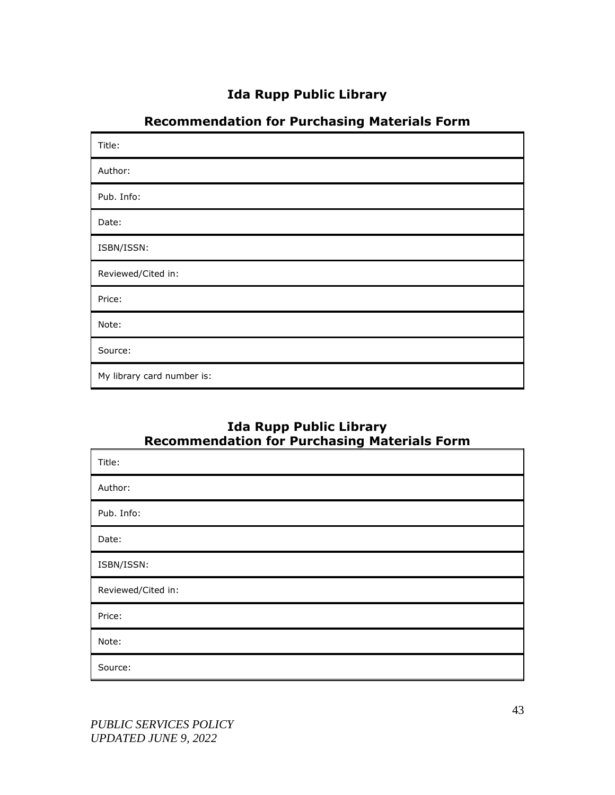# **Ida Rupp Public Library**

| Title:                     |
|----------------------------|
| Author:                    |
| Pub. Info:                 |
| Date:                      |
| ISBN/ISSN:                 |
| Reviewed/Cited in:         |
| Price:                     |
| Note:                      |
| Source:                    |
| My library card number is: |

# **Ida Rupp Public Library Recommendation for Purchasing Materials Form**

| Title:             |
|--------------------|
| Author:            |
| Pub. Info:         |
| Date:              |
| ISBN/ISSN:         |
| Reviewed/Cited in: |
| Price:             |
| Note:              |
| Source:            |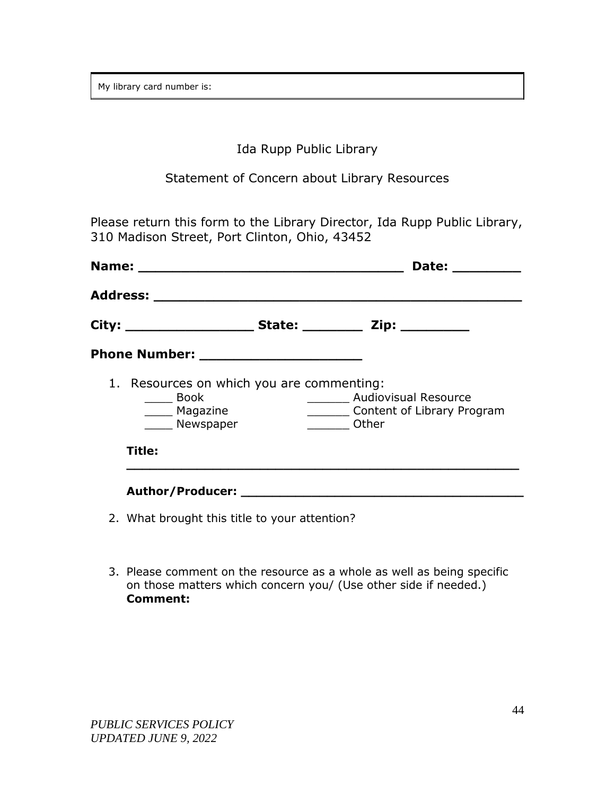My library card number is:

# Ida Rupp Public Library

Statement of Concern about Library Resources

Please return this form to the Library Director, Ida Rupp Public Library, 310 Madison Street, Port Clinton, Ohio, 43452

|                                     |                                                                          | Date:                                                                     |
|-------------------------------------|--------------------------------------------------------------------------|---------------------------------------------------------------------------|
|                                     |                                                                          |                                                                           |
|                                     |                                                                          |                                                                           |
|                                     | Phone Number: _______________________                                    |                                                                           |
| $\rule{1em}{0.15mm}$ Book<br>Title: | 1. Resources on which you are commenting:<br>_____ Magazine<br>Newspaper | <b>Audiovisual Resource</b><br>Content of Library Program<br>______ Other |
|                                     | Author/Producer: Author/Producer:                                        |                                                                           |

- 2. What brought this title to your attention?
- 3. Please comment on the resource as a whole as well as being specific on those matters which concern you/ (Use other side if needed.) **Comment:**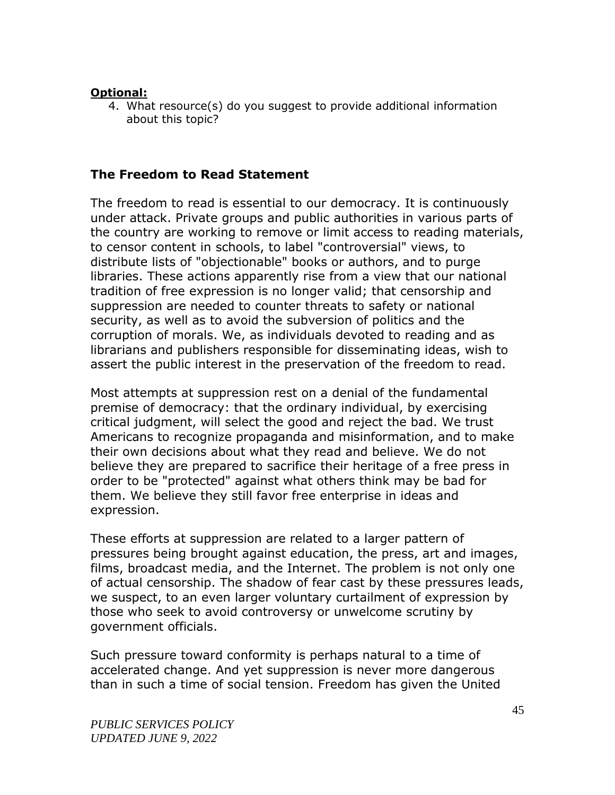#### **Optional:**

4. What resource(s) do you suggest to provide additional information about this topic?

#### <span id="page-46-0"></span>**The Freedom to Read Statement**

The freedom to read is essential to our democracy. It is continuously under attack. Private groups and public authorities in various parts of the country are working to remove or limit access to reading materials, to censor content in schools, to label "controversial" views, to distribute lists of "objectionable" books or authors, and to purge libraries. These actions apparently rise from a view that our national tradition of free expression is no longer valid; that censorship and suppression are needed to counter threats to safety or national security, as well as to avoid the subversion of politics and the corruption of morals. We, as individuals devoted to reading and as librarians and publishers responsible for disseminating ideas, wish to assert the public interest in the preservation of the freedom to read.

Most attempts at suppression rest on a denial of the fundamental premise of democracy: that the ordinary individual, by exercising critical judgment, will select the good and reject the bad. We trust Americans to recognize propaganda and misinformation, and to make their own decisions about what they read and believe. We do not believe they are prepared to sacrifice their heritage of a free press in order to be "protected" against what others think may be bad for them. We believe they still favor free enterprise in ideas and expression.

These efforts at suppression are related to a larger pattern of pressures being brought against education, the press, art and images, films, broadcast media, and the Internet. The problem is not only one of actual censorship. The shadow of fear cast by these pressures leads, we suspect, to an even larger voluntary curtailment of expression by those who seek to avoid controversy or unwelcome scrutiny by government officials.

Such pressure toward conformity is perhaps natural to a time of accelerated change. And yet suppression is never more dangerous than in such a time of social tension. Freedom has given the United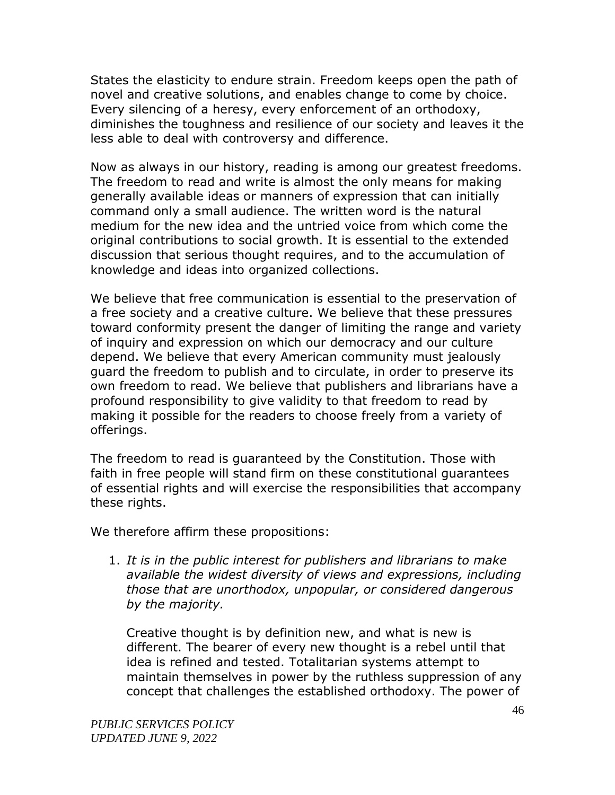States the elasticity to endure strain. Freedom keeps open the path of novel and creative solutions, and enables change to come by choice. Every silencing of a heresy, every enforcement of an orthodoxy, diminishes the toughness and resilience of our society and leaves it the less able to deal with controversy and difference.

Now as always in our history, reading is among our greatest freedoms. The freedom to read and write is almost the only means for making generally available ideas or manners of expression that can initially command only a small audience. The written word is the natural medium for the new idea and the untried voice from which come the original contributions to social growth. It is essential to the extended discussion that serious thought requires, and to the accumulation of knowledge and ideas into organized collections.

We believe that free communication is essential to the preservation of a free society and a creative culture. We believe that these pressures toward conformity present the danger of limiting the range and variety of inquiry and expression on which our democracy and our culture depend. We believe that every American community must jealously guard the freedom to publish and to circulate, in order to preserve its own freedom to read. We believe that publishers and librarians have a profound responsibility to give validity to that freedom to read by making it possible for the readers to choose freely from a variety of offerings.

The freedom to read is guaranteed by the Constitution. Those with faith in free people will stand firm on these constitutional guarantees of essential rights and will exercise the responsibilities that accompany these rights.

We therefore affirm these propositions:

1. *It is in the public interest for publishers and librarians to make available the widest diversity of views and expressions, including those that are unorthodox, unpopular, or considered dangerous by the majority.*

Creative thought is by definition new, and what is new is different. The bearer of every new thought is a rebel until that idea is refined and tested. Totalitarian systems attempt to maintain themselves in power by the ruthless suppression of any concept that challenges the established orthodoxy. The power of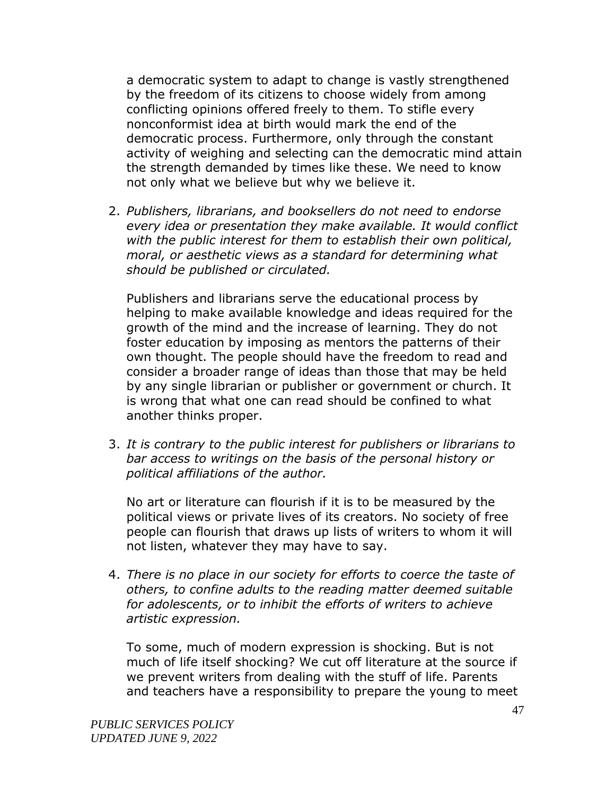a democratic system to adapt to change is vastly strengthened by the freedom of its citizens to choose widely from among conflicting opinions offered freely to them. To stifle every nonconformist idea at birth would mark the end of the democratic process. Furthermore, only through the constant activity of weighing and selecting can the democratic mind attain the strength demanded by times like these. We need to know not only what we believe but why we believe it.

2. *Publishers, librarians, and booksellers do not need to endorse every idea or presentation they make available. It would conflict with the public interest for them to establish their own political, moral, or aesthetic views as a standard for determining what should be published or circulated.*

Publishers and librarians serve the educational process by helping to make available knowledge and ideas required for the growth of the mind and the increase of learning. They do not foster education by imposing as mentors the patterns of their own thought. The people should have the freedom to read and consider a broader range of ideas than those that may be held by any single librarian or publisher or government or church. It is wrong that what one can read should be confined to what another thinks proper.

3. *It is contrary to the public interest for publishers or librarians to bar access to writings on the basis of the personal history or political affiliations of the author.*

No art or literature can flourish if it is to be measured by the political views or private lives of its creators. No society of free people can flourish that draws up lists of writers to whom it will not listen, whatever they may have to say.

4. *There is no place in our society for efforts to coerce the taste of others, to confine adults to the reading matter deemed suitable for adolescents, or to inhibit the efforts of writers to achieve artistic expression.*

To some, much of modern expression is shocking. But is not much of life itself shocking? We cut off literature at the source if we prevent writers from dealing with the stuff of life. Parents and teachers have a responsibility to prepare the young to meet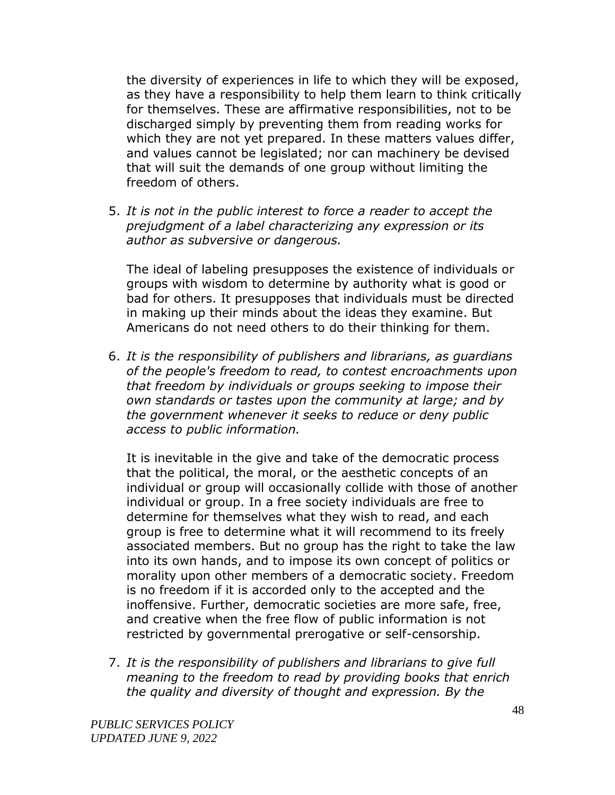the diversity of experiences in life to which they will be exposed, as they have a responsibility to help them learn to think critically for themselves. These are affirmative responsibilities, not to be discharged simply by preventing them from reading works for which they are not yet prepared. In these matters values differ, and values cannot be legislated; nor can machinery be devised that will suit the demands of one group without limiting the freedom of others.

5. *It is not in the public interest to force a reader to accept the prejudgment of a label characterizing any expression or its author as subversive or dangerous.*

The ideal of labeling presupposes the existence of individuals or groups with wisdom to determine by authority what is good or bad for others. It presupposes that individuals must be directed in making up their minds about the ideas they examine. But Americans do not need others to do their thinking for them.

6. *It is the responsibility of publishers and librarians, as guardians of the people's freedom to read, to contest encroachments upon that freedom by individuals or groups seeking to impose their own standards or tastes upon the community at large; and by the government whenever it seeks to reduce or deny public access to public information.*

It is inevitable in the give and take of the democratic process that the political, the moral, or the aesthetic concepts of an individual or group will occasionally collide with those of another individual or group. In a free society individuals are free to determine for themselves what they wish to read, and each group is free to determine what it will recommend to its freely associated members. But no group has the right to take the law into its own hands, and to impose its own concept of politics or morality upon other members of a democratic society. Freedom is no freedom if it is accorded only to the accepted and the inoffensive. Further, democratic societies are more safe, free, and creative when the free flow of public information is not restricted by governmental prerogative or self-censorship.

7. *It is the responsibility of publishers and librarians to give full meaning to the freedom to read by providing books that enrich the quality and diversity of thought and expression. By the*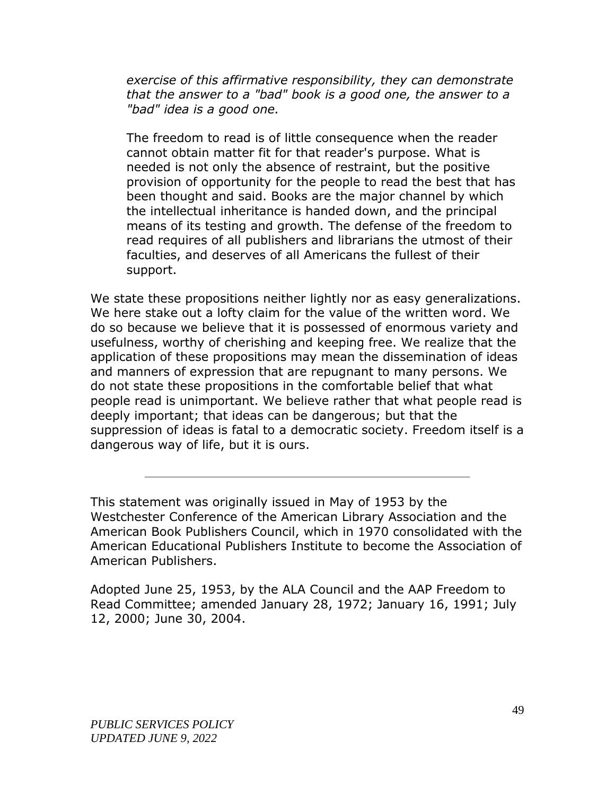*exercise of this affirmative responsibility, they can demonstrate that the answer to a "bad" book is a good one, the answer to a "bad" idea is a good one.*

The freedom to read is of little consequence when the reader cannot obtain matter fit for that reader's purpose. What is needed is not only the absence of restraint, but the positive provision of opportunity for the people to read the best that has been thought and said. Books are the major channel by which the intellectual inheritance is handed down, and the principal means of its testing and growth. The defense of the freedom to read requires of all publishers and librarians the utmost of their faculties, and deserves of all Americans the fullest of their support.

We state these propositions neither lightly nor as easy generalizations. We here stake out a lofty claim for the value of the written word. We do so because we believe that it is possessed of enormous variety and usefulness, worthy of cherishing and keeping free. We realize that the application of these propositions may mean the dissemination of ideas and manners of expression that are repugnant to many persons. We do not state these propositions in the comfortable belief that what people read is unimportant. We believe rather that what people read is deeply important; that ideas can be dangerous; but that the suppression of ideas is fatal to a democratic society. Freedom itself is a dangerous way of life, but it is ours.

This statement was originally issued in May of 1953 by the Westchester Conference of the American Library Association and the American Book Publishers Council, which in 1970 consolidated with the American Educational Publishers Institute to become the Association of American Publishers.

Adopted June 25, 1953, by the ALA Council and the AAP Freedom to Read Committee; amended January 28, 1972; January 16, 1991; July 12, 2000; June 30, 2004.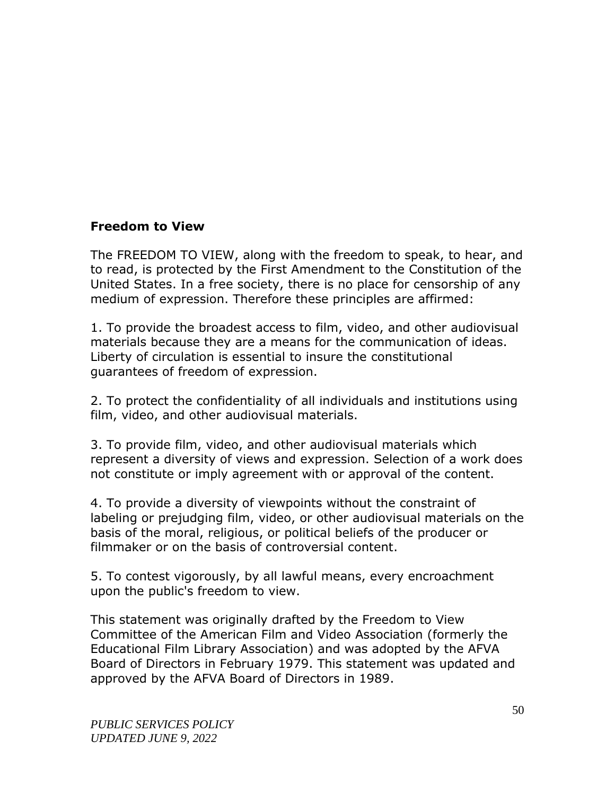# <span id="page-51-0"></span>**Freedom to View**

The FREEDOM TO VIEW, along with the freedom to speak, to hear, and to read, is protected by the First Amendment to the Constitution of the United States. In a free society, there is no place for censorship of any medium of expression. Therefore these principles are affirmed:

1. To provide the broadest access to film, video, and other audiovisual materials because they are a means for the communication of ideas. Liberty of circulation is essential to insure the constitutional guarantees of freedom of expression.

2. To protect the confidentiality of all individuals and institutions using film, video, and other audiovisual materials.

3. To provide film, video, and other audiovisual materials which represent a diversity of views and expression. Selection of a work does not constitute or imply agreement with or approval of the content.

4. To provide a diversity of viewpoints without the constraint of labeling or prejudging film, video, or other audiovisual materials on the basis of the moral, religious, or political beliefs of the producer or filmmaker or on the basis of controversial content.

5. To contest vigorously, by all lawful means, every encroachment upon the public's freedom to view.

This statement was originally drafted by the Freedom to View Committee of the American Film and Video Association (formerly the Educational Film Library Association) and was adopted by the AFVA Board of Directors in February 1979. This statement was updated and approved by the AFVA Board of Directors in 1989.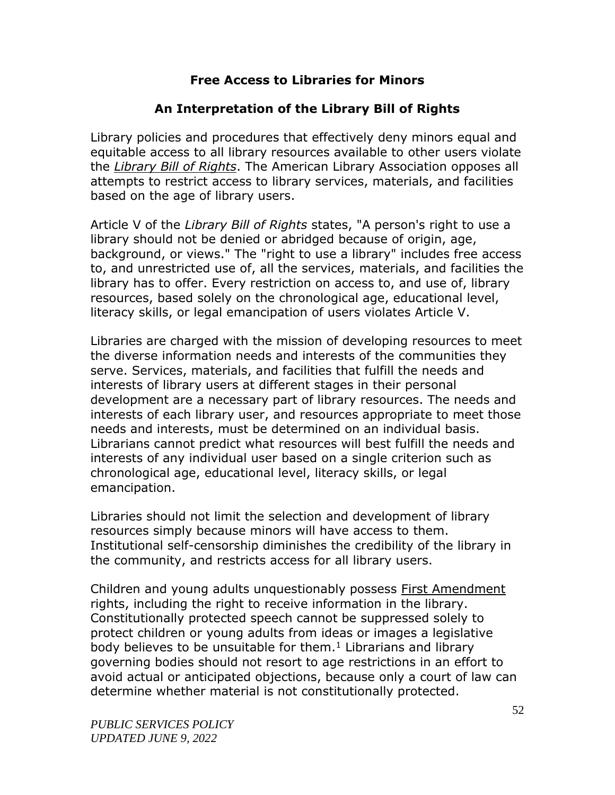#### **Free Access to Libraries for Minors**

#### **An Interpretation of the Library Bill of Rights**

<span id="page-53-1"></span><span id="page-53-0"></span>Library policies and procedures that effectively deny minors equal and equitable access to all library resources available to other users violate the *[Library Bill of Rights](http://www.ala.org/ala/oif/statementspols/statementsif/librarybillrights.htm)*. The American Library Association opposes all attempts to restrict access to library services, materials, and facilities based on the age of library users.

Article V of the *Library Bill of Rights* states, "A person's right to use a library should not be denied or abridged because of origin, age, background, or views." The "right to use a library" includes free access to, and unrestricted use of, all the services, materials, and facilities the library has to offer. Every restriction on access to, and use of, library resources, based solely on the chronological age, educational level, literacy skills, or legal emancipation of users violates Article V.

Libraries are charged with the mission of developing resources to meet the diverse information needs and interests of the communities they serve. Services, materials, and facilities that fulfill the needs and interests of library users at different stages in their personal development are a necessary part of library resources. The needs and interests of each library user, and resources appropriate to meet those needs and interests, must be determined on an individual basis. Librarians cannot predict what resources will best fulfill the needs and interests of any individual user based on a single criterion such as chronological age, educational level, literacy skills, or legal emancipation.

Libraries should not limit the selection and development of library resources simply because minors will have access to them. Institutional self-censorship diminishes the credibility of the library in the community, and restricts access for all library users.

Children and young adults unquestionably possess [First Amendment](http://www.ala.org/ala/oif/firstamendment/firstamendment.htm) rights, including the right to receive information in the library. Constitutionally protected speech cannot be suppressed solely to protect children or young adults from ideas or images a legislative body believes to be unsuitable for them. $<sup>1</sup>$  Librarians and library</sup> governing bodies should not resort to age restrictions in an effort to avoid actual or anticipated objections, because only a court of law can determine whether material is not constitutionally protected.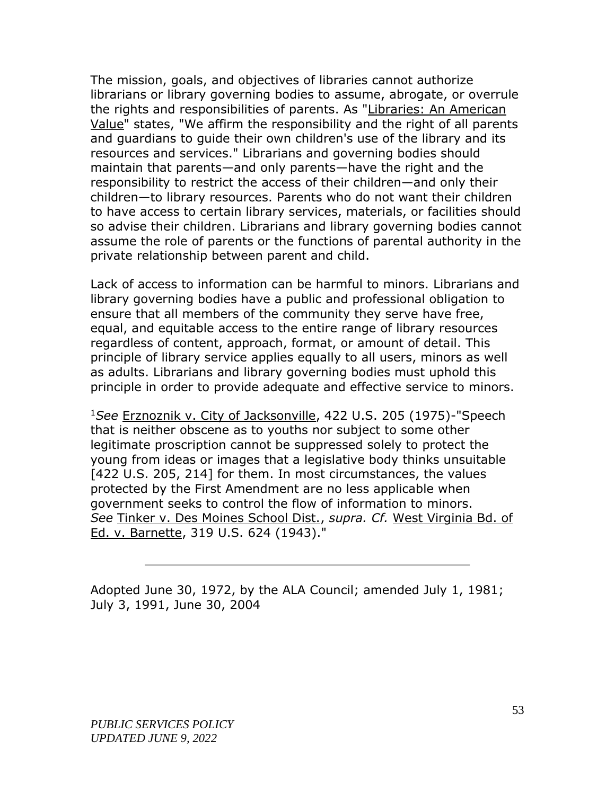The mission, goals, and objectives of libraries cannot authorize librarians or library governing bodies to assume, abrogate, or overrule the rights and responsibilities of parents. As "Libraries: An American [Value"](http://www.ala.org/ala/oif/statementspols/americanvalue/librariesamerican.htm) states, "We affirm the responsibility and the right of all parents and guardians to guide their own children's use of the library and its resources and services." Librarians and governing bodies should maintain that parents—and only parents—have the right and the responsibility to restrict the access of their children—and only their children—to library resources. Parents who do not want their children to have access to certain library services, materials, or facilities should so advise their children. Librarians and library governing bodies cannot assume the role of parents or the functions of parental authority in the private relationship between parent and child.

Lack of access to information can be harmful to minors. Librarians and library governing bodies have a public and professional obligation to ensure that all members of the community they serve have free, equal, and equitable access to the entire range of library resources regardless of content, approach, format, or amount of detail. This principle of library service applies equally to all users, minors as well as adults. Librarians and library governing bodies must uphold this principle in order to provide adequate and effective service to minors.

<sup>1</sup>*See* [Erznoznik v. City of Jacksonville,](http://caselaw.lp.findlaw.com/cgi-bin/getcase.pl?court=us&vol=422&invol=205) 422 U.S. 205 (1975)-"Speech that is neither obscene as to youths nor subject to some other legitimate proscription cannot be suppressed solely to protect the young from ideas or images that a legislative body thinks unsuitable [422 U.S. 205, 214] for them. In most circumstances, the values protected by the First Amendment are no less applicable when government seeks to control the flow of information to minors. *See* [Tinker v. Des Moines School Dist.,](http://caselaw.lp.findlaw.com/scripts/getcase.pl?court=US&vol=393&invol=503) *supra. Cf.* [West Virginia Bd. of](http://caselaw.lp.findlaw.com/scripts/getcase.pl?court=US&vol=319&invol=624)  [Ed. v. Barnette,](http://caselaw.lp.findlaw.com/scripts/getcase.pl?court=US&vol=319&invol=624) 319 U.S. 624 (1943)."

Adopted June 30, 1972, by the ALA Council; amended July 1, 1981; July 3, 1991, June 30, 2004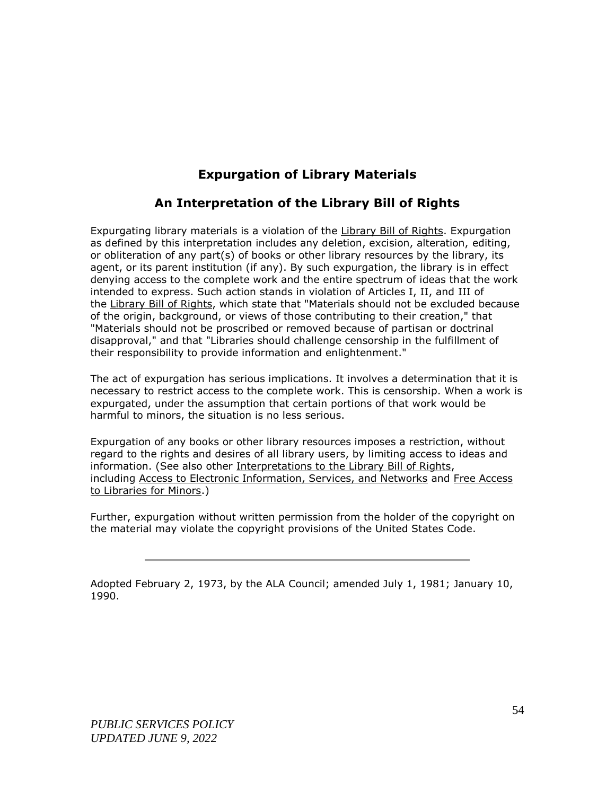# **Expurgation of Library Materials**

# **An Interpretation of the Library Bill of Rights**

<span id="page-55-1"></span><span id="page-55-0"></span>Expurgating library materials is a violation of the [Library Bill of Rights.](http://www.ala.org/ala/oif/statementspols/statementsif/librarybillrights.htm) Expurgation as defined by this interpretation includes any deletion, excision, alteration, editing, or obliteration of any part(s) of books or other library resources by the library, its agent, or its parent institution (if any). By such expurgation, the library is in effect denying access to the complete work and the entire spectrum of ideas that the work intended to express. Such action stands in violation of Articles I, II, and III of the [Library Bill of Rights,](http://www.ala.org/ala/oif/statementspols/statementsif/librarybillrights.htm) which state that "Materials should not be excluded because of the origin, background, or views of those contributing to their creation," that "Materials should not be proscribed or removed because of partisan or doctrinal disapproval," and that "Libraries should challenge censorship in the fulfillment of their responsibility to provide information and enlightenment."

The act of expurgation has serious implications. It involves a determination that it is necessary to restrict access to the complete work. This is censorship. When a work is expurgated, under the assumption that certain portions of that work would be harmful to minors, the situation is no less serious.

Expurgation of any books or other library resources imposes a restriction, without regard to the rights and desires of all library users, by limiting access to ideas and information. (See also other [Interpretations to the Library Bill of Rights,](http://www.ala.org/ala/oif/statementspols/statementsif/interpretations/Default675.htm) including [Access to Electronic Information, Services, and Networks](http://www.ala.org/Template.cfm?Section=interpretations&Template=/ContentManagement/ContentDisplay.cfm&ContentID=85283) and [Free Access](http://www.ala.org/Template.cfm?Section=interpretations&Template=/ContentManagement/ContentDisplay.cfm&ContentID=76545)  [to Libraries for Minors.](http://www.ala.org/Template.cfm?Section=interpretations&Template=/ContentManagement/ContentDisplay.cfm&ContentID=76545))

Further, expurgation without written permission from the holder of the copyright on the material may violate the copyright provisions of the United States Code.

Adopted February 2, 1973, by the ALA Council; amended July 1, 1981; January 10, 1990.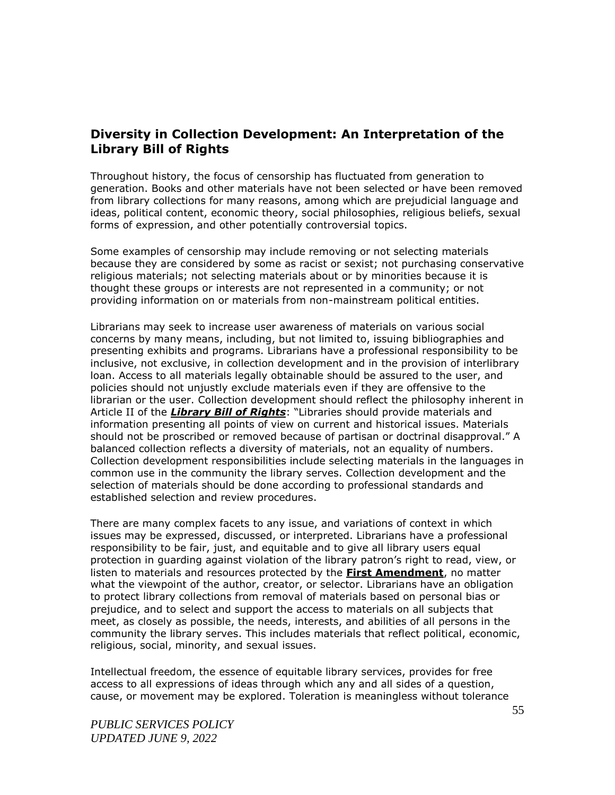#### <span id="page-56-0"></span>**Diversity in Collection Development: An Interpretation of the Library Bill of Rights**

Throughout history, the focus of censorship has fluctuated from generation to generation. Books and other materials have not been selected or have been removed from library collections for many reasons, among which are prejudicial language and ideas, political content, economic theory, social philosophies, religious beliefs, sexual forms of expression, and other potentially controversial topics.

Some examples of censorship may include removing or not selecting materials because they are considered by some as racist or sexist; not purchasing conservative religious materials; not selecting materials about or by minorities because it is thought these groups or interests are not represented in a community; or not providing information on or materials from non-mainstream political entities.

Librarians may seek to increase user awareness of materials on various social concerns by many means, including, but not limited to, issuing bibliographies and presenting exhibits and programs. Librarians have a professional responsibility to be inclusive, not exclusive, in collection development and in the provision of interlibrary loan. Access to all materials legally obtainable should be assured to the user, and policies should not unjustly exclude materials even if they are offensive to the librarian or the user. Collection development should reflect the philosophy inherent in Article II of the *[Library Bill of Rights](http://www.ala.org/ala/oif/statementspols/statementsif/librarybillrights.htm)*: "Libraries should provide materials and information presenting all points of view on current and historical issues. Materials should not be proscribed or removed because of partisan or doctrinal disapproval." A balanced collection reflects a diversity of materials, not an equality of numbers. Collection development responsibilities include selecting materials in the languages in common use in the community the library serves. Collection development and the selection of materials should be done according to professional standards and established selection and review procedures.

There are many complex facets to any issue, and variations of context in which issues may be expressed, discussed, or interpreted. Librarians have a professional responsibility to be fair, just, and equitable and to give all library users equal protection in guarding against violation of the library patron's right to read, view, or listen to materials and resources protected by the **[First Amendment](http://www.ala.org/alaorg/oif/first.html)**, no matter what the viewpoint of the author, creator, or selector. Librarians have an obligation to protect library collections from removal of materials based on personal bias or prejudice, and to select and support the access to materials on all subjects that meet, as closely as possible, the needs, interests, and abilities of all persons in the community the library serves. This includes materials that reflect political, economic, religious, social, minority, and sexual issues.

Intellectual freedom, the essence of equitable library services, provides for free access to all expressions of ideas through which any and all sides of a question, cause, or movement may be explored. Toleration is meaningless without tolerance